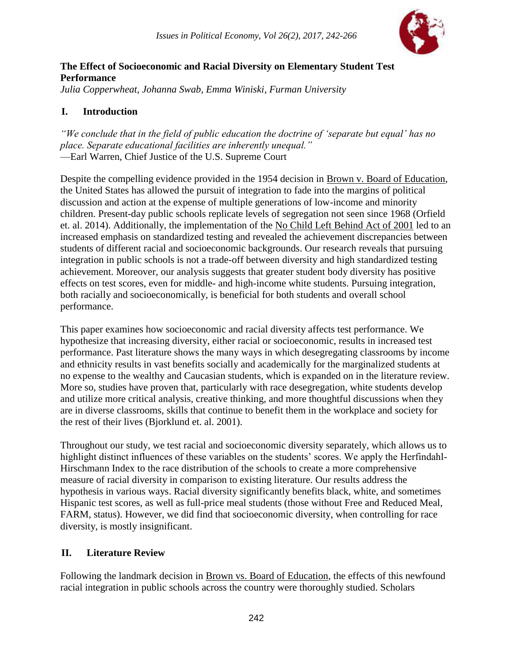

*Julia Copperwheat, Johanna Swab, Emma Winiski, Furman University*

# **I. Introduction**

*"We conclude that in the field of public education the doctrine of 'separate but equal' has no place. Separate educational facilities are inherently unequal."* —Earl Warren, Chief Justice of the U.S. Supreme Court

Despite the compelling evidence provided in the 1954 decision in Brown v. Board of Education, the United States has allowed the pursuit of integration to fade into the margins of political discussion and action at the expense of multiple generations of low-income and minority children. Present-day public schools replicate levels of segregation not seen since 1968 (Orfield et. al. 2014). Additionally, the implementation of the No Child Left Behind Act of 2001 led to an increased emphasis on standardized testing and revealed the achievement discrepancies between students of different racial and socioeconomic backgrounds. Our research reveals that pursuing integration in public schools is not a trade-off between diversity and high standardized testing achievement. Moreover, our analysis suggests that greater student body diversity has positive effects on test scores, even for middle- and high-income white students. Pursuing integration, both racially and socioeconomically, is beneficial for both students and overall school performance.

This paper examines how socioeconomic and racial diversity affects test performance. We hypothesize that increasing diversity, either racial or socioeconomic, results in increased test performance. Past literature shows the many ways in which desegregating classrooms by income and ethnicity results in vast benefits socially and academically for the marginalized students at no expense to the wealthy and Caucasian students, which is expanded on in the literature review. More so, studies have proven that, particularly with race desegregation, white students develop and utilize more critical analysis, creative thinking, and more thoughtful discussions when they are in diverse classrooms, skills that continue to benefit them in the workplace and society for the rest of their lives (Bjorklund et. al. 2001).

Throughout our study, we test racial and socioeconomic diversity separately, which allows us to highlight distinct influences of these variables on the students' scores. We apply the Herfindahl-Hirschmann Index to the race distribution of the schools to create a more comprehensive measure of racial diversity in comparison to existing literature. Our results address the hypothesis in various ways. Racial diversity significantly benefits black, white, and sometimes Hispanic test scores, as well as full-price meal students (those without Free and Reduced Meal, FARM, status). However, we did find that socioeconomic diversity, when controlling for race diversity, is mostly insignificant.

# **II. Literature Review**

Following the landmark decision in Brown vs. Board of Education, the effects of this newfound racial integration in public schools across the country were thoroughly studied. Scholars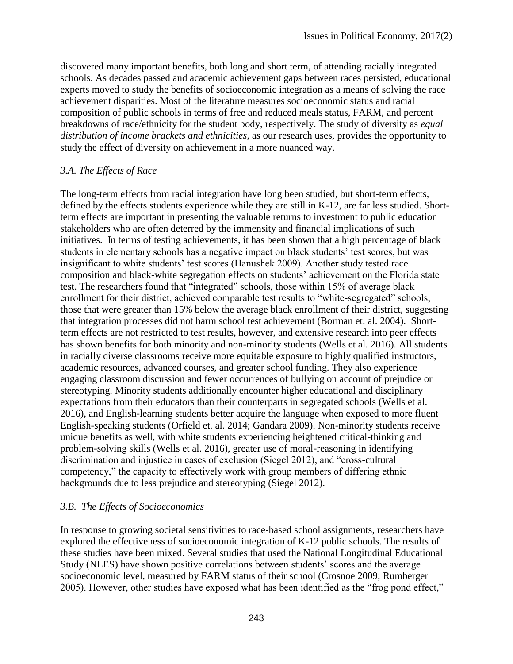discovered many important benefits, both long and short term, of attending racially integrated schools. As decades passed and academic achievement gaps between races persisted, educational experts moved to study the benefits of socioeconomic integration as a means of solving the race achievement disparities. Most of the literature measures socioeconomic status and racial composition of public schools in terms of free and reduced meals status, FARM, and percent breakdowns of race/ethnicity for the student body, respectively. The study of diversity as *equal distribution of income brackets and ethnicities*, as our research uses, provides the opportunity to study the effect of diversity on achievement in a more nuanced way.

### *3.A. The Effects of Race*

The long-term effects from racial integration have long been studied, but short-term effects, defined by the effects students experience while they are still in K-12, are far less studied. Shortterm effects are important in presenting the valuable returns to investment to public education stakeholders who are often deterred by the immensity and financial implications of such initiatives. In terms of testing achievements, it has been shown that a high percentage of black students in elementary schools has a negative impact on black students' test scores, but was insignificant to white students' test scores (Hanushek 2009). Another study tested race composition and black-white segregation effects on students' achievement on the Florida state test. The researchers found that "integrated" schools, those within 15% of average black enrollment for their district, achieved comparable test results to "white-segregated" schools, those that were greater than 15% below the average black enrollment of their district, suggesting that integration processes did not harm school test achievement (Borman et. al. 2004). Shortterm effects are not restricted to test results, however, and extensive research into peer effects has shown benefits for both minority and non-minority students (Wells et al. 2016). All students in racially diverse classrooms receive more equitable exposure to highly qualified instructors, academic resources, advanced courses, and greater school funding. They also experience engaging classroom discussion and fewer occurrences of bullying on account of prejudice or stereotyping. Minority students additionally encounter higher educational and disciplinary expectations from their educators than their counterparts in segregated schools (Wells et al. 2016), and English-learning students better acquire the language when exposed to more fluent English-speaking students (Orfield et. al. 2014; Gandara 2009). Non-minority students receive unique benefits as well, with white students experiencing heightened critical-thinking and problem-solving skills (Wells et al. 2016), greater use of moral-reasoning in identifying discrimination and injustice in cases of exclusion (Siegel 2012), and "cross-cultural competency," the capacity to effectively work with group members of differing ethnic backgrounds due to less prejudice and stereotyping (Siegel 2012).

### *3.B. The Effects of Socioeconomics*

In response to growing societal sensitivities to race-based school assignments, researchers have explored the effectiveness of socioeconomic integration of K-12 public schools. The results of these studies have been mixed. Several studies that used the National Longitudinal Educational Study (NLES) have shown positive correlations between students' scores and the average socioeconomic level, measured by FARM status of their school (Crosnoe 2009; Rumberger 2005). However, other studies have exposed what has been identified as the "frog pond effect,"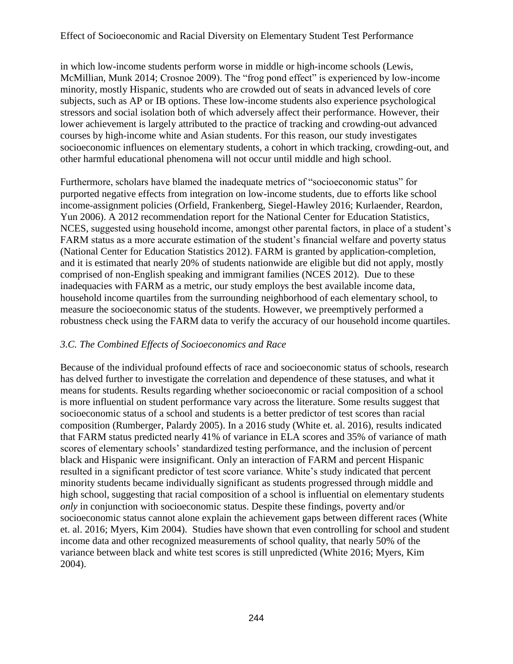in which low-income students perform worse in middle or high-income schools (Lewis, McMillian, Munk 2014; Crosnoe 2009). The "frog pond effect" is experienced by low-income minority, mostly Hispanic, students who are crowded out of seats in advanced levels of core subjects, such as AP or IB options. These low-income students also experience psychological stressors and social isolation both of which adversely affect their performance. However, their lower achievement is largely attributed to the practice of tracking and crowding-out advanced courses by high-income white and Asian students. For this reason, our study investigates socioeconomic influences on elementary students, a cohort in which tracking, crowding-out, and other harmful educational phenomena will not occur until middle and high school.

Furthermore, scholars have blamed the inadequate metrics of "socioeconomic status" for purported negative effects from integration on low-income students, due to efforts like school income-assignment policies (Orfield, Frankenberg, Siegel-Hawley 2016; Kurlaender, Reardon, Yun 2006). A 2012 recommendation report for the National Center for Education Statistics, NCES, suggested using household income, amongst other parental factors, in place of a student's FARM status as a more accurate estimation of the student's financial welfare and poverty status (National Center for Education Statistics 2012). FARM is granted by application-completion, and it is estimated that nearly 20% of students nationwide are eligible but did not apply, mostly comprised of non-English speaking and immigrant families (NCES 2012). Due to these inadequacies with FARM as a metric, our study employs the best available income data, household income quartiles from the surrounding neighborhood of each elementary school, to measure the socioeconomic status of the students. However, we preemptively performed a robustness check using the FARM data to verify the accuracy of our household income quartiles.

### *3.C. The Combined Effects of Socioeconomics and Race*

Because of the individual profound effects of race and socioeconomic status of schools, research has delved further to investigate the correlation and dependence of these statuses, and what it means for students. Results regarding whether socioeconomic or racial composition of a school is more influential on student performance vary across the literature. Some results suggest that socioeconomic status of a school and students is a better predictor of test scores than racial composition (Rumberger, Palardy 2005). In a 2016 study (White et. al. 2016), results indicated that FARM status predicted nearly 41% of variance in ELA scores and 35% of variance of math scores of elementary schools' standardized testing performance, and the inclusion of percent black and Hispanic were insignificant. Only an interaction of FARM and percent Hispanic resulted in a significant predictor of test score variance. White's study indicated that percent minority students became individually significant as students progressed through middle and high school, suggesting that racial composition of a school is influential on elementary students *only* in conjunction with socioeconomic status. Despite these findings, poverty and/or socioeconomic status cannot alone explain the achievement gaps between different races (White et. al. 2016; Myers, Kim 2004). Studies have shown that even controlling for school and student income data and other recognized measurements of school quality, that nearly 50% of the variance between black and white test scores is still unpredicted (White 2016; Myers, Kim 2004).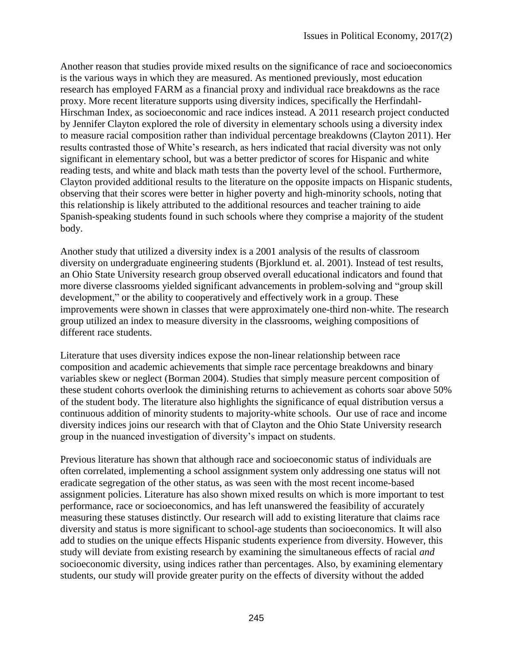Another reason that studies provide mixed results on the significance of race and socioeconomics is the various ways in which they are measured. As mentioned previously, most education research has employed FARM as a financial proxy and individual race breakdowns as the race proxy. More recent literature supports using diversity indices, specifically the Herfindahl-Hirschman Index, as socioeconomic and race indices instead. A 2011 research project conducted by Jennifer Clayton explored the role of diversity in elementary schools using a diversity index to measure racial composition rather than individual percentage breakdowns (Clayton 2011). Her results contrasted those of White's research, as hers indicated that racial diversity was not only significant in elementary school, but was a better predictor of scores for Hispanic and white reading tests, and white and black math tests than the poverty level of the school. Furthermore, Clayton provided additional results to the literature on the opposite impacts on Hispanic students, observing that their scores were better in higher poverty and high-minority schools, noting that this relationship is likely attributed to the additional resources and teacher training to aide Spanish-speaking students found in such schools where they comprise a majority of the student body.

Another study that utilized a diversity index is a 2001 analysis of the results of classroom diversity on undergraduate engineering students (Bjorklund et. al. 2001). Instead of test results, an Ohio State University research group observed overall educational indicators and found that more diverse classrooms yielded significant advancements in problem-solving and "group skill development," or the ability to cooperatively and effectively work in a group. These improvements were shown in classes that were approximately one-third non-white. The research group utilized an index to measure diversity in the classrooms, weighing compositions of different race students.

Literature that uses diversity indices expose the non-linear relationship between race composition and academic achievements that simple race percentage breakdowns and binary variables skew or neglect (Borman 2004). Studies that simply measure percent composition of these student cohorts overlook the diminishing returns to achievement as cohorts soar above 50% of the student body. The literature also highlights the significance of equal distribution versus a continuous addition of minority students to majority-white schools. Our use of race and income diversity indices joins our research with that of Clayton and the Ohio State University research group in the nuanced investigation of diversity's impact on students.

Previous literature has shown that although race and socioeconomic status of individuals are often correlated, implementing a school assignment system only addressing one status will not eradicate segregation of the other status, as was seen with the most recent income-based assignment policies. Literature has also shown mixed results on which is more important to test performance, race or socioeconomics, and has left unanswered the feasibility of accurately measuring these statuses distinctly. Our research will add to existing literature that claims race diversity and status is more significant to school-age students than socioeconomics. It will also add to studies on the unique effects Hispanic students experience from diversity. However, this study will deviate from existing research by examining the simultaneous effects of racial *and* socioeconomic diversity, using indices rather than percentages. Also, by examining elementary students, our study will provide greater purity on the effects of diversity without the added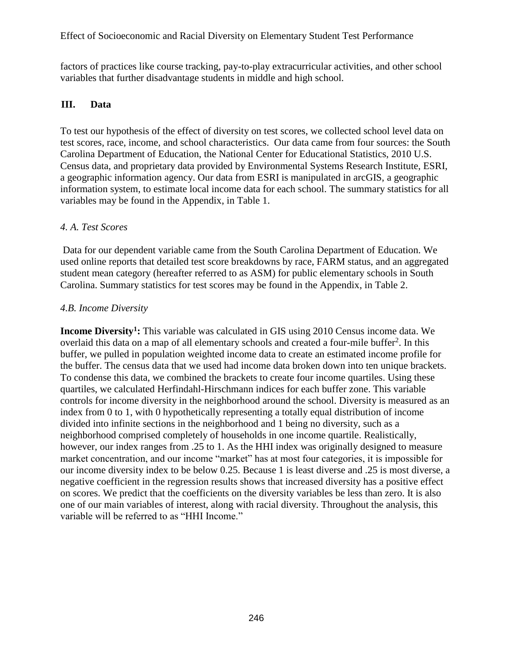factors of practices like course tracking, pay-to-play extracurricular activities, and other school variables that further disadvantage students in middle and high school.

### **III. Data**

To test our hypothesis of the effect of diversity on test scores, we collected school level data on test scores, race, income, and school characteristics. Our data came from four sources: the South Carolina Department of Education, the National Center for Educational Statistics, 2010 U.S. Census data, and proprietary data provided by Environmental Systems Research Institute, ESRI, a geographic information agency. Our data from ESRI is manipulated in arcGIS, a geographic information system, to estimate local income data for each school. The summary statistics for all variables may be found in the Appendix, in Table 1.

#### *4. A. Test Scores*

Data for our dependent variable came from the South Carolina Department of Education. We used online reports that detailed test score breakdowns by race, FARM status, and an aggregated student mean category (hereafter referred to as ASM) for public elementary schools in South Carolina. Summary statistics for test scores may be found in the Appendix, in Table 2.

#### *4.B. Income Diversity*

**Income Diversity<sup>1</sup> :** This variable was calculated in GIS using 2010 Census income data. We overlaid this data on a map of all elementary schools and created a four-mile buffer<sup>2</sup>. In this buffer, we pulled in population weighted income data to create an estimated income profile for the buffer. The census data that we used had income data broken down into ten unique brackets. To condense this data, we combined the brackets to create four income quartiles. Using these quartiles, we calculated Herfindahl-Hirschmann indices for each buffer zone. This variable controls for income diversity in the neighborhood around the school. Diversity is measured as an index from 0 to 1, with 0 hypothetically representing a totally equal distribution of income divided into infinite sections in the neighborhood and 1 being no diversity, such as a neighborhood comprised completely of households in one income quartile. Realistically, however, our index ranges from .25 to 1. As the HHI index was originally designed to measure market concentration, and our income "market" has at most four categories, it is impossible for our income diversity index to be below 0.25. Because 1 is least diverse and .25 is most diverse, a negative coefficient in the regression results shows that increased diversity has a positive effect on scores. We predict that the coefficients on the diversity variables be less than zero. It is also one of our main variables of interest, along with racial diversity. Throughout the analysis, this variable will be referred to as "HHI Income."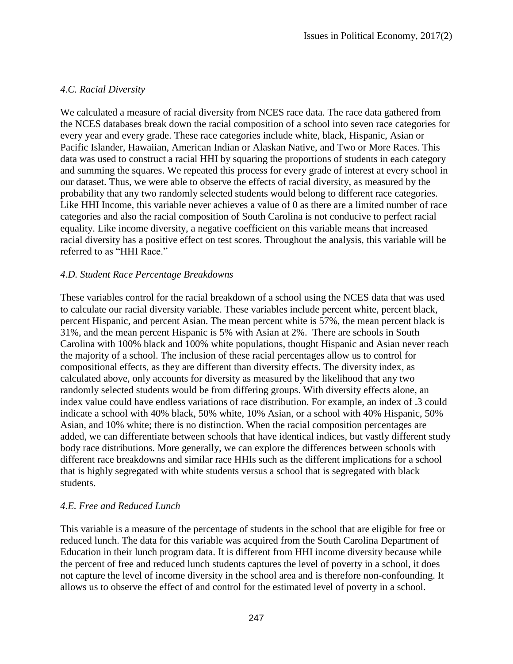### *4.C. Racial Diversity*

We calculated a measure of racial diversity from NCES race data. The race data gathered from the NCES databases break down the racial composition of a school into seven race categories for every year and every grade. These race categories include white, black, Hispanic, Asian or Pacific Islander, Hawaiian, American Indian or Alaskan Native, and Two or More Races. This data was used to construct a racial HHI by squaring the proportions of students in each category and summing the squares. We repeated this process for every grade of interest at every school in our dataset. Thus, we were able to observe the effects of racial diversity, as measured by the probability that any two randomly selected students would belong to different race categories. Like HHI Income, this variable never achieves a value of 0 as there are a limited number of race categories and also the racial composition of South Carolina is not conducive to perfect racial equality. Like income diversity, a negative coefficient on this variable means that increased racial diversity has a positive effect on test scores. Throughout the analysis, this variable will be referred to as "HHI Race."

#### *4.D. Student Race Percentage Breakdowns*

These variables control for the racial breakdown of a school using the NCES data that was used to calculate our racial diversity variable. These variables include percent white, percent black, percent Hispanic, and percent Asian. The mean percent white is 57%, the mean percent black is 31%, and the mean percent Hispanic is 5% with Asian at 2%. There are schools in South Carolina with 100% black and 100% white populations, thought Hispanic and Asian never reach the majority of a school. The inclusion of these racial percentages allow us to control for compositional effects, as they are different than diversity effects. The diversity index, as calculated above, only accounts for diversity as measured by the likelihood that any two randomly selected students would be from differing groups. With diversity effects alone, an index value could have endless variations of race distribution. For example, an index of .3 could indicate a school with 40% black, 50% white, 10% Asian, or a school with 40% Hispanic, 50% Asian, and 10% white; there is no distinction. When the racial composition percentages are added, we can differentiate between schools that have identical indices, but vastly different study body race distributions. More generally, we can explore the differences between schools with different race breakdowns and similar race HHIs such as the different implications for a school that is highly segregated with white students versus a school that is segregated with black students.

#### *4.E. Free and Reduced Lunch*

This variable is a measure of the percentage of students in the school that are eligible for free or reduced lunch. The data for this variable was acquired from the South Carolina Department of Education in their lunch program data. It is different from HHI income diversity because while the percent of free and reduced lunch students captures the level of poverty in a school, it does not capture the level of income diversity in the school area and is therefore non-confounding. It allows us to observe the effect of and control for the estimated level of poverty in a school.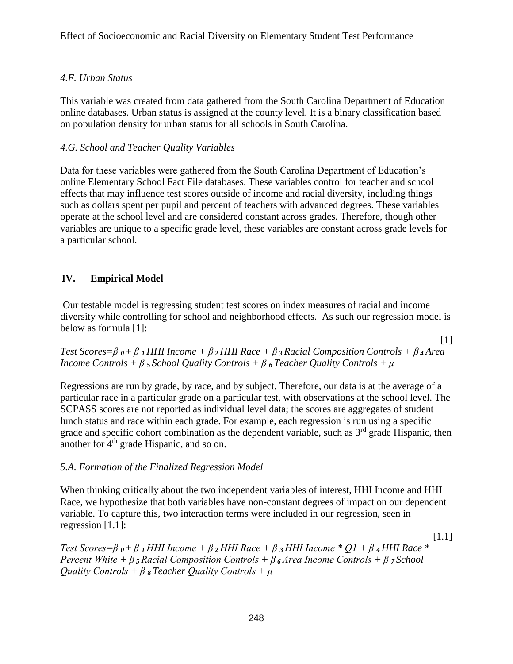### *4.F. Urban Status*

This variable was created from data gathered from the South Carolina Department of Education online databases. Urban status is assigned at the county level. It is a binary classification based on population density for urban status for all schools in South Carolina.

### *4.G. School and Teacher Quality Variables*

Data for these variables were gathered from the South Carolina Department of Education's online Elementary School Fact File databases. These variables control for teacher and school effects that may influence test scores outside of income and racial diversity, including things such as dollars spent per pupil and percent of teachers with advanced degrees. These variables operate at the school level and are considered constant across grades. Therefore, though other variables are unique to a specific grade level, these variables are constant across grade levels for a particular school.

# **IV. Empirical Model**

Our testable model is regressing student test scores on index measures of racial and income diversity while controlling for school and neighborhood effects. As such our regression model is below as formula [1]:

[1] *Test Scores=β <sup>0</sup>+ β <sup>1</sup>HHI Income + β <sup>2</sup>HHI Race + β <sup>3</sup> Racial Composition Controls + β <sup>4</sup> Area Income Controls + β <sup>5</sup> School Quality Controls + β <sup>6</sup> Teacher Quality Controls + μ*

Regressions are run by grade, by race, and by subject. Therefore, our data is at the average of a particular race in a particular grade on a particular test, with observations at the school level. The SCPASS scores are not reported as individual level data; the scores are aggregates of student lunch status and race within each grade. For example, each regression is run using a specific grade and specific cohort combination as the dependent variable, such as  $3<sup>rd</sup>$  grade Hispanic, then another for  $4<sup>th</sup>$  grade Hispanic, and so on.

### *5.A. Formation of the Finalized Regression Model*

When thinking critically about the two independent variables of interest, HHI Income and HHI Race, we hypothesize that both variables have non-constant degrees of impact on our dependent variable. To capture this, two interaction terms were included in our regression, seen in regression [1.1]:

*Test Scores=β 0 + β 1 HHI Income + β <sup>2</sup>HHI Race + β 3 HHI Income \* Q1 + β 4 HHI Race \* Percent White + β <sup>5</sup>Racial Composition Controls + β <sup>6</sup>Area Income Controls + β 7 School Quality Controls + β 8 Teacher Quality Controls + μ*

[1.1]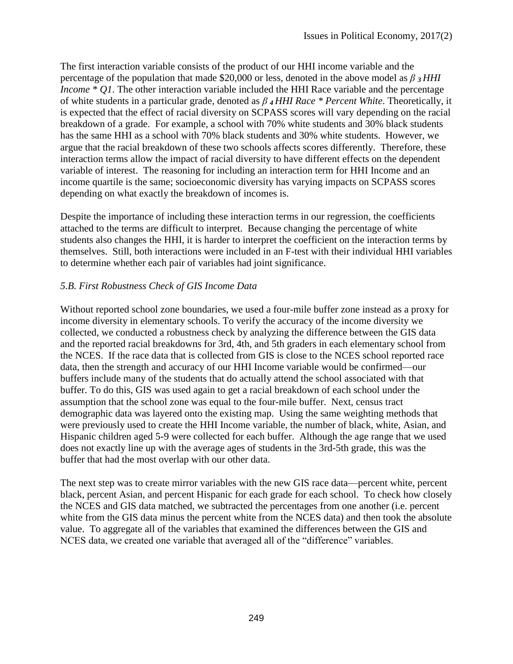The first interaction variable consists of the product of our HHI income variable and the percentage of the population that made \$20,000 or less, denoted in the above model as *β 3 HHI Income \* Q1*. The other interaction variable included the HHI Race variable and the percentage of white students in a particular grade, denoted as *β 4 HHI Race \* Percent White*. Theoretically, it is expected that the effect of racial diversity on SCPASS scores will vary depending on the racial breakdown of a grade. For example, a school with 70% white students and 30% black students has the same HHI as a school with 70% black students and 30% white students. However, we argue that the racial breakdown of these two schools affects scores differently. Therefore, these interaction terms allow the impact of racial diversity to have different effects on the dependent variable of interest. The reasoning for including an interaction term for HHI Income and an income quartile is the same; socioeconomic diversity has varying impacts on SCPASS scores depending on what exactly the breakdown of incomes is.

Despite the importance of including these interaction terms in our regression, the coefficients attached to the terms are difficult to interpret. Because changing the percentage of white students also changes the HHI, it is harder to interpret the coefficient on the interaction terms by themselves. Still, both interactions were included in an F-test with their individual HHI variables to determine whether each pair of variables had joint significance.

# *5.B. First Robustness Check of GIS Income Data*

Without reported school zone boundaries, we used a four-mile buffer zone instead as a proxy for income diversity in elementary schools. To verify the accuracy of the income diversity we collected, we conducted a robustness check by analyzing the difference between the GIS data and the reported racial breakdowns for 3rd, 4th, and 5th graders in each elementary school from the NCES. If the race data that is collected from GIS is close to the NCES school reported race data, then the strength and accuracy of our HHI Income variable would be confirmed—our buffers include many of the students that do actually attend the school associated with that buffer. To do this, GIS was used again to get a racial breakdown of each school under the assumption that the school zone was equal to the four-mile buffer. Next, census tract demographic data was layered onto the existing map. Using the same weighting methods that were previously used to create the HHI Income variable, the number of black, white, Asian, and Hispanic children aged 5-9 were collected for each buffer. Although the age range that we used does not exactly line up with the average ages of students in the 3rd-5th grade, this was the buffer that had the most overlap with our other data.

The next step was to create mirror variables with the new GIS race data—percent white, percent black, percent Asian, and percent Hispanic for each grade for each school. To check how closely the NCES and GIS data matched, we subtracted the percentages from one another (i.e. percent white from the GIS data minus the percent white from the NCES data) and then took the absolute value. To aggregate all of the variables that examined the differences between the GIS and NCES data, we created one variable that averaged all of the "difference" variables.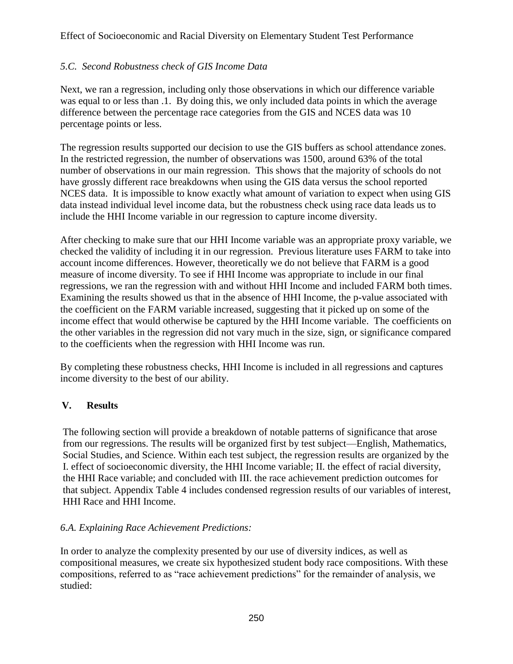# *5.C. Second Robustness check of GIS Income Data*

Next, we ran a regression, including only those observations in which our difference variable was equal to or less than .1. By doing this, we only included data points in which the average difference between the percentage race categories from the GIS and NCES data was 10 percentage points or less.

The regression results supported our decision to use the GIS buffers as school attendance zones. In the restricted regression, the number of observations was 1500, around 63% of the total number of observations in our main regression. This shows that the majority of schools do not have grossly different race breakdowns when using the GIS data versus the school reported NCES data. It is impossible to know exactly what amount of variation to expect when using GIS data instead individual level income data, but the robustness check using race data leads us to include the HHI Income variable in our regression to capture income diversity.

After checking to make sure that our HHI Income variable was an appropriate proxy variable, we checked the validity of including it in our regression. Previous literature uses FARM to take into account income differences. However, theoretically we do not believe that FARM is a good measure of income diversity. To see if HHI Income was appropriate to include in our final regressions, we ran the regression with and without HHI Income and included FARM both times. Examining the results showed us that in the absence of HHI Income, the p-value associated with the coefficient on the FARM variable increased, suggesting that it picked up on some of the income effect that would otherwise be captured by the HHI Income variable. The coefficients on the other variables in the regression did not vary much in the size, sign, or significance compared to the coefficients when the regression with HHI Income was run.

By completing these robustness checks, HHI Income is included in all regressions and captures income diversity to the best of our ability.

# **V. Results**

The following section will provide a breakdown of notable patterns of significance that arose from our regressions. The results will be organized first by test subject—English, Mathematics, Social Studies, and Science. Within each test subject, the regression results are organized by the I. effect of socioeconomic diversity, the HHI Income variable; II. the effect of racial diversity, the HHI Race variable; and concluded with III. the race achievement prediction outcomes for that subject. Appendix Table 4 includes condensed regression results of our variables of interest, HHI Race and HHI Income.

### *6.A. Explaining Race Achievement Predictions:*

In order to analyze the complexity presented by our use of diversity indices, as well as compositional measures, we create six hypothesized student body race compositions. With these compositions, referred to as "race achievement predictions" for the remainder of analysis, we studied: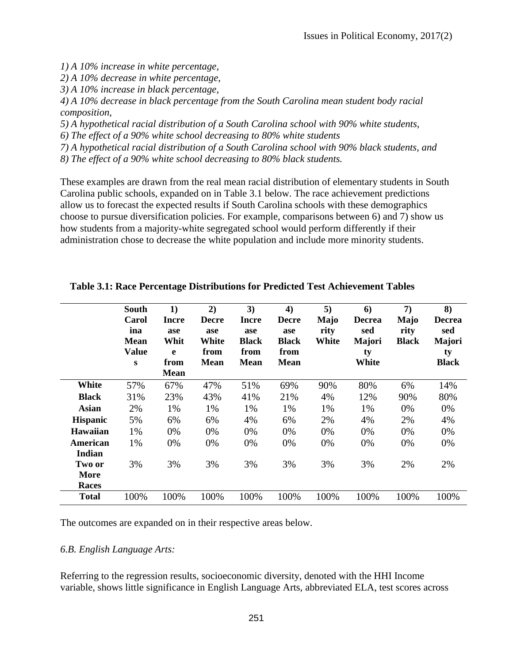*1) A 10% increase in white percentage,*

*2) A 10% decrease in white percentage,*

*3) A 10% increase in black percentage,*

*4) A 10% decrease in black percentage from the South Carolina mean student body racial composition,*

*5) A hypothetical racial distribution of a South Carolina school with 90% white students,*

*6) The effect of a 90% white school decreasing to 80% white students*

*7) A hypothetical racial distribution of a South Carolina school with 90% black students, and*

*8) The effect of a 90% white school decreasing to 80% black students.*

These examples are drawn from the real mean racial distribution of elementary students in South Carolina public schools, expanded on in Table 3.1 below. The race achievement predictions allow us to forecast the expected results if South Carolina schools with these demographics choose to pursue diversification policies. For example, comparisons between 6) and 7) show us how students from a majority-white segregated school would perform differently if their administration chose to decrease the white population and include more minority students.

|                                | <b>South</b><br>Carol<br>ina<br><b>Mean</b><br><b>Value</b><br>S | 1)<br><b>Incre</b><br>ase<br>Whit<br>e<br>from<br><b>Mean</b> | 2)<br><b>Decre</b><br>ase<br>White<br>from<br><b>Mean</b> | 3)<br><b>Incre</b><br>ase<br><b>Black</b><br>from<br><b>Mean</b> | 4)<br><b>Decre</b><br>ase<br><b>Black</b><br>from<br><b>Mean</b> | 5)<br>Majo<br>rity<br>White | 6)<br><b>Decrea</b><br>sed<br>Majori<br>ty<br>White | 7)<br>Majo<br>rity<br><b>Black</b> | 8)<br><b>Decrea</b><br>sed<br>Majori<br>ty<br><b>Black</b> |
|--------------------------------|------------------------------------------------------------------|---------------------------------------------------------------|-----------------------------------------------------------|------------------------------------------------------------------|------------------------------------------------------------------|-----------------------------|-----------------------------------------------------|------------------------------------|------------------------------------------------------------|
| White                          | 57%                                                              | 67%                                                           | 47%                                                       | 51%                                                              | 69%                                                              | 90%                         | 80%                                                 | 6%                                 | 14%                                                        |
| <b>Black</b>                   | 31%                                                              | 23%                                                           | 43%                                                       | 41%                                                              | 21%                                                              | 4%                          | 12%                                                 | 90%                                | 80%                                                        |
| Asian                          | 2%                                                               | 1%                                                            | 1%                                                        | 1%                                                               | 1%                                                               | 1%                          | 1%                                                  | 0%                                 | 0%                                                         |
| <b>Hispanic</b>                | 5%                                                               | 6%                                                            | 6%                                                        | 4%                                                               | 6%                                                               | 2%                          | 4%                                                  | 2%                                 | 4%                                                         |
| <b>Hawaiian</b>                | 1%                                                               | 0%                                                            | 0%                                                        | 0%                                                               | 0%                                                               | 0%                          | 0%                                                  | 0%                                 | 0%                                                         |
| American<br>Indian             | 1%                                                               | 0%                                                            | 0%                                                        | 0%                                                               | 0%                                                               | 0%                          | 0%                                                  | 0%                                 | 0%                                                         |
| Two or<br>More<br><b>Races</b> | 3%                                                               | 3%                                                            | 3%                                                        | 3%                                                               | 3%                                                               | 3%                          | 3%                                                  | 2%                                 | 2%                                                         |
| <b>Total</b>                   | 100%                                                             | 100%                                                          | 100%                                                      | 100%                                                             | 100%                                                             | 100%                        | 100%                                                | 100%                               | 100%                                                       |

|  |  |  |  | Table 3.1: Race Percentage Distributions for Predicted Test Achievement Tables |  |
|--|--|--|--|--------------------------------------------------------------------------------|--|
|  |  |  |  |                                                                                |  |

The outcomes are expanded on in their respective areas below.

#### *6.B. English Language Arts:*

Referring to the regression results, socioeconomic diversity, denoted with the HHI Income variable, shows little significance in English Language Arts, abbreviated ELA, test scores across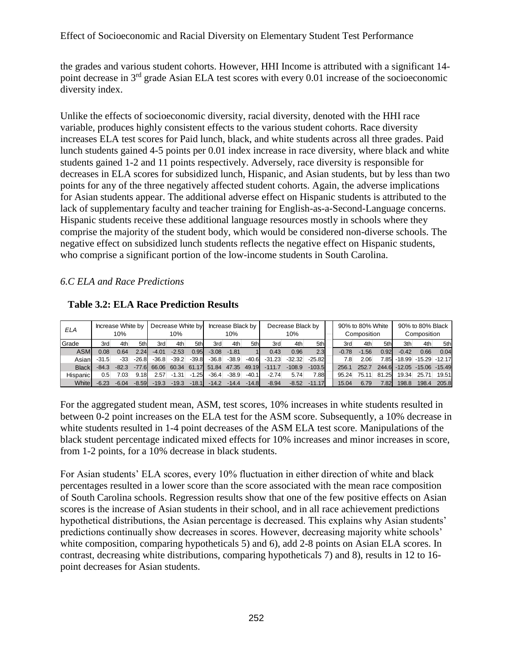the grades and various student cohorts. However, HHI Income is attributed with a significant 14 point decrease in 3<sup>rd</sup> grade Asian ELA test scores with every 0.01 increase of the socioeconomic diversity index.

Unlike the effects of socioeconomic diversity, racial diversity, denoted with the HHI race variable, produces highly consistent effects to the various student cohorts. Race diversity increases ELA test scores for Paid lunch, black, and white students across all three grades. Paid lunch students gained 4-5 points per 0.01 index increase in race diversity, where black and white students gained 1-2 and 11 points respectively. Adversely, race diversity is responsible for decreases in ELA scores for subsidized lunch, Hispanic, and Asian students, but by less than two points for any of the three negatively affected student cohorts. Again, the adverse implications for Asian students appear. The additional adverse effect on Hispanic students is attributed to the lack of supplementary faculty and teacher training for English-as-a-Second-Language concerns. Hispanic students receive these additional language resources mostly in schools where they comprise the majority of the student body, which would be considered non-diverse schools. The negative effect on subsidized lunch students reflects the negative effect on Hispanic students, who comprise a significant portion of the low-income students in South Carolina.

#### *6.C ELA and Race Predictions*

| ELA          |         | Increase White by<br>10% |         |         | Decrease White by<br>10% |         |         | Increase Black by<br>10% |         | Decrease Black by<br>10% |          |          |  |         | 90% to 80% White<br>Composition |                   | 90% to 80% Black<br>Composition |                            |       |  |
|--------------|---------|--------------------------|---------|---------|--------------------------|---------|---------|--------------------------|---------|--------------------------|----------|----------|--|---------|---------------------------------|-------------------|---------------------------------|----------------------------|-------|--|
| Grade        | 3rd     | 4th                      | 5thl    | 3rd     | 4th                      | 5th     | 3rd     | 4th                      | 5th     | 3rd                      | 4th      | 5th      |  | 3rd     | 4th                             | 5th               | 3th                             | 4th                        | 5th   |  |
| <b>ASM</b>   | 0.08    | 0.64                     | 2.24    | $-4.01$ | $-2.53$                  | 0.95    | $-3.08$ | $-1.81$                  |         | 0.43                     | 0.96     | 2.3      |  | $-0.78$ | $-1.56$                         | 0.92              | $-0.42$                         | 0.66                       | 0.04  |  |
| Asian        | $-31.5$ | $-33$                    | $-26.8$ | $-36.8$ | $-39.2$                  | $-39.8$ | $-36.8$ | $-38.9$                  | $-40.6$ | $-31.23$                 | $-32.32$ | $-25.82$ |  | 7.8     | 2.06                            | 7.85              |                                 | $-18.99$ $-15.29$ $-12.17$ |       |  |
| <b>Black</b> | $-84.3$ | $-82.3$                  | $-776$  | 66.06   | 60.34                    | 61.17   | 51.84   | 47.35                    | 49.19   | $-111.7$                 | $-108.9$ | $-103.5$ |  | 256.7   | 252.7                           | 244.6             |                                 | $-12.05 - 15.06 - 15.49$   |       |  |
| Hispanic     | 0.5     | 7.03                     | 9.18    | 2.57    | $-1.31$                  | $-1.25$ | $-36.4$ | $-38.9$                  | $-40.1$ | $-2.74$                  | 5.74     | 7.88     |  | 95.24   | 75.11                           | 81.25             | 19.34                           | 25.71                      | 19.51 |  |
| White        | $-6.23$ | $-6.04$                  | $-8.59$ | $-19.3$ | $-19.3$                  | $-18.1$ | $-14.2$ | $-14.4$                  | $-14.8$ | $-8.94$                  | $-8.52$  | $-11.17$ |  | 15.04   | 6.79                            | 7.82 <sub>1</sub> | 198.8                           | 198.4                      | 205.8 |  |

**Table 3.2: ELA Race Prediction Results**

For the aggregated student mean, ASM, test scores, 10% increases in white students resulted in between 0-2 point increases on the ELA test for the ASM score. Subsequently, a 10% decrease in white students resulted in 1-4 point decreases of the ASM ELA test score. Manipulations of the black student percentage indicated mixed effects for 10% increases and minor increases in score, from 1-2 points, for a 10% decrease in black students.

For Asian students' ELA scores, every 10% fluctuation in either direction of white and black percentages resulted in a lower score than the score associated with the mean race composition of South Carolina schools. Regression results show that one of the few positive effects on Asian scores is the increase of Asian students in their school, and in all race achievement predictions hypothetical distributions, the Asian percentage is decreased. This explains why Asian students' predictions continually show decreases in scores. However, decreasing majority white schools' white composition, comparing hypotheticals 5) and 6), add 2-8 points on Asian ELA scores. In contrast, decreasing white distributions, comparing hypotheticals 7) and 8), results in 12 to 16 point decreases for Asian students.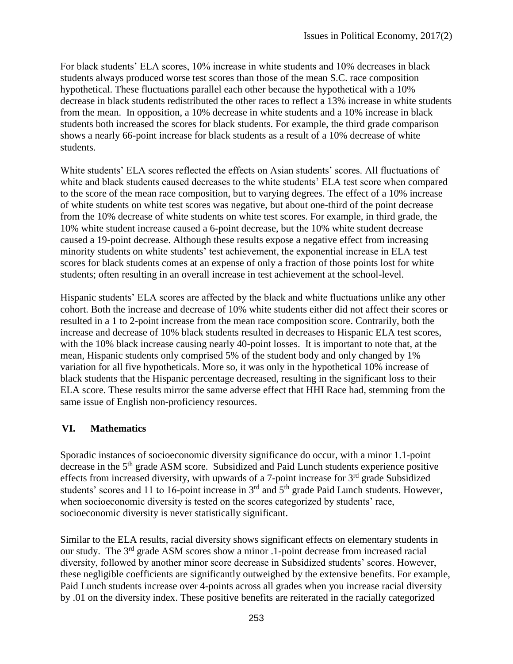For black students' ELA scores, 10% increase in white students and 10% decreases in black students always produced worse test scores than those of the mean S.C. race composition hypothetical. These fluctuations parallel each other because the hypothetical with a 10% decrease in black students redistributed the other races to reflect a 13% increase in white students from the mean. In opposition, a 10% decrease in white students and a 10% increase in black students both increased the scores for black students. For example, the third grade comparison shows a nearly 66-point increase for black students as a result of a 10% decrease of white students.

White students' ELA scores reflected the effects on Asian students' scores. All fluctuations of white and black students caused decreases to the white students' ELA test score when compared to the score of the mean race composition, but to varying degrees. The effect of a 10% increase of white students on white test scores was negative, but about one-third of the point decrease from the 10% decrease of white students on white test scores. For example, in third grade, the 10% white student increase caused a 6-point decrease, but the 10% white student decrease caused a 19-point decrease. Although these results expose a negative effect from increasing minority students on white students' test achievement, the exponential increase in ELA test scores for black students comes at an expense of only a fraction of those points lost for white students; often resulting in an overall increase in test achievement at the school-level.

Hispanic students' ELA scores are affected by the black and white fluctuations unlike any other cohort. Both the increase and decrease of 10% white students either did not affect their scores or resulted in a 1 to 2-point increase from the mean race composition score. Contrarily, both the increase and decrease of 10% black students resulted in decreases to Hispanic ELA test scores, with the 10% black increase causing nearly 40-point losses. It is important to note that, at the mean, Hispanic students only comprised 5% of the student body and only changed by 1% variation for all five hypotheticals. More so, it was only in the hypothetical 10% increase of black students that the Hispanic percentage decreased, resulting in the significant loss to their ELA score. These results mirror the same adverse effect that HHI Race had, stemming from the same issue of English non-proficiency resources.

# **VI. Mathematics**

Sporadic instances of socioeconomic diversity significance do occur, with a minor 1.1-point decrease in the 5<sup>th</sup> grade ASM score. Subsidized and Paid Lunch students experience positive effects from increased diversity, with upwards of a 7-point increase for 3<sup>rd</sup> grade Subsidized students' scores and 11 to 16-point increase in  $3<sup>rd</sup>$  and  $5<sup>th</sup>$  grade Paid Lunch students. However, when socioeconomic diversity is tested on the scores categorized by students' race, socioeconomic diversity is never statistically significant.

Similar to the ELA results, racial diversity shows significant effects on elementary students in our study. The 3<sup>rd</sup> grade ASM scores show a minor .1-point decrease from increased racial diversity, followed by another minor score decrease in Subsidized students' scores. However, these negligible coefficients are significantly outweighed by the extensive benefits. For example, Paid Lunch students increase over 4-points across all grades when you increase racial diversity by .01 on the diversity index. These positive benefits are reiterated in the racially categorized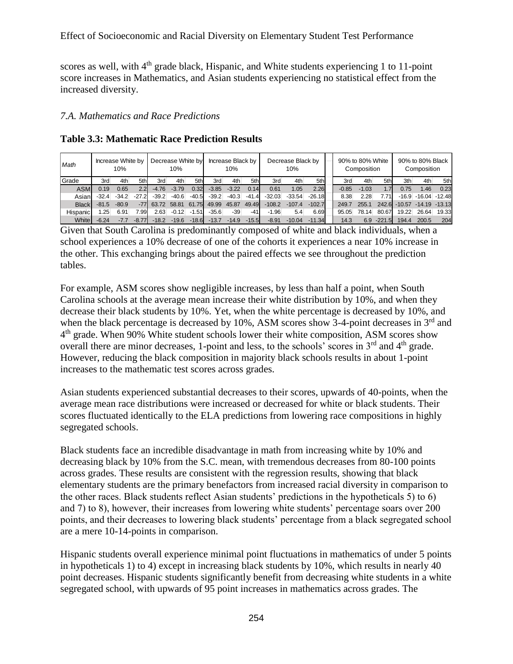scores as well, with 4<sup>th</sup> grade black, Hispanic, and White students experiencing 1 to 11-point score increases in Mathematics, and Asian students experiencing no statistical effect from the increased diversity.

#### *7.A. Mathematics and Race Predictions*

| Math         |         | Increase White by<br>10% |         |         | Decrease White by<br>10% |         |         | Increase Black by<br>10% |         | Decrease Black by<br>10% |          |          |  |         | 90% to 80% White<br>Composition |          | 90% to 80% Black<br>Composition |                           |       |  |
|--------------|---------|--------------------------|---------|---------|--------------------------|---------|---------|--------------------------|---------|--------------------------|----------|----------|--|---------|---------------------------------|----------|---------------------------------|---------------------------|-------|--|
| Grade        | 3rd     | 4th                      | 5thl    | 3rd     | 4th                      | 5th     | 3rd     | 4th                      | 5th     | 3rd                      | 4th      | 5th      |  | 3rd     | 4th                             | 5th      | 3th                             | 4th                       | 5th   |  |
| <b>ASM</b>   | 0.19    | 0.65                     | 2.2     | $-4.76$ | $-3.79$                  | 0.32    | $-3.85$ | $-3.22$                  | 0.14    | 0.61                     | 1.05     | 2.26     |  | $-0.85$ | $-1.03$                         | 1.7      | 0.75                            | 1.46                      | 0.23  |  |
| Asian        | $-32.4$ | $-34.2$                  | $-27.2$ | $-39.2$ | $-40.6$                  | $-40.5$ | $-39.2$ | $-40.3$                  | $-41.4$ | $-32.03$                 | $-33.54$ | $-26.18$ |  | 8.38    | 2.28                            | 7.71     |                                 | $-16.9$ $-16.04$ $-12.48$ |       |  |
| <b>Black</b> | $-81.5$ | $-80.9$                  |         | 63.72   | 58.81                    | 61.75   | 49.99   | 45.87                    | 49.49   | $-108.2$                 | $-107.4$ | $-102.7$ |  | 249.7   | 255.1                           | 242.6    | $-10.57$                        | $-14.19 - 13.13$          |       |  |
| Hispanic     | 25      | 6.91                     | 7.99    | 2.63    | $-0.12$                  | $-1.51$ | $-35.6$ | $-39$                    | -41     | $-1.96$                  | 5.4      | 6.69     |  | 95.05   | 78.14                           | 80.67    | 19.22                           | 26.64                     | 19.33 |  |
| <b>White</b> | $-6.24$ |                          |         | $-18.2$ | $-19.6$                  | $-18.6$ | $-13.7$ | $-14.9$                  | $-15.5$ | $-8.91$                  | $-10.04$ | $-11.34$ |  | 14.3    | 6.9                             | $-221.5$ | 194.4                           | 200.5                     | 204   |  |

**Table 3.3: Mathematic Race Prediction Results** 

Given that South Carolina is predominantly composed of white and black individuals, when a school experiences a 10% decrease of one of the cohorts it experiences a near 10% increase in the other. This exchanging brings about the paired effects we see throughout the prediction tables.

For example, ASM scores show negligible increases, by less than half a point, when South Carolina schools at the average mean increase their white distribution by 10%, and when they decrease their black students by 10%. Yet, when the white percentage is decreased by 10%, and when the black percentage is decreased by  $10\%$ , ASM scores show 3-4-point decreases in  $3<sup>rd</sup>$  and 4<sup>th</sup> grade. When 90% White student schools lower their white composition, ASM scores show overall there are minor decreases, 1-point and less, to the schools' scores in 3<sup>rd</sup> and 4<sup>th</sup> grade. However, reducing the black composition in majority black schools results in about 1-point increases to the mathematic test scores across grades.

Asian students experienced substantial decreases to their scores, upwards of 40-points, when the average mean race distributions were increased or decreased for white or black students. Their scores fluctuated identically to the ELA predictions from lowering race compositions in highly segregated schools.

Black students face an incredible disadvantage in math from increasing white by 10% and decreasing black by 10% from the S.C. mean, with tremendous decreases from 80-100 points across grades. These results are consistent with the regression results, showing that black elementary students are the primary benefactors from increased racial diversity in comparison to the other races. Black students reflect Asian students' predictions in the hypotheticals 5) to 6) and 7) to 8), however, their increases from lowering white students' percentage soars over 200 points, and their decreases to lowering black students' percentage from a black segregated school are a mere 10-14-points in comparison.

Hispanic students overall experience minimal point fluctuations in mathematics of under 5 points in hypotheticals 1) to 4) except in increasing black students by 10%, which results in nearly 40 point decreases. Hispanic students significantly benefit from decreasing white students in a white segregated school, with upwards of 95 point increases in mathematics across grades. The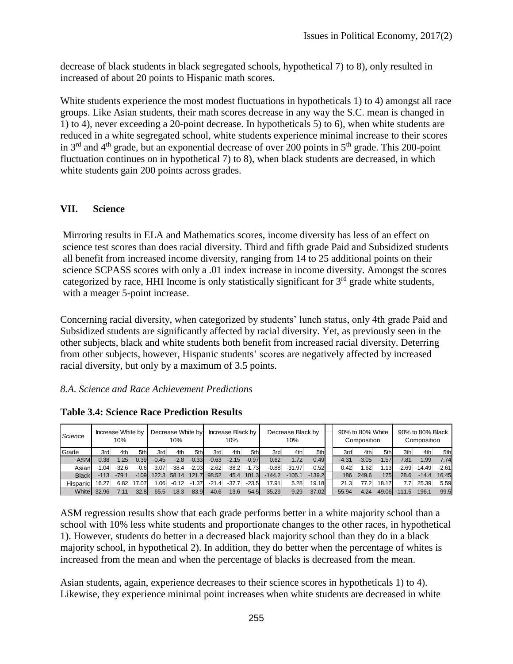decrease of black students in black segregated schools, hypothetical 7) to 8), only resulted in increased of about 20 points to Hispanic math scores.

White students experience the most modest fluctuations in hypotheticals 1) to 4) amongst all race groups. Like Asian students, their math scores decrease in any way the S.C. mean is changed in 1) to 4), never exceeding a 20-point decrease. In hypotheticals 5) to 6), when white students are reduced in a white segregated school, white students experience minimal increase to their scores in  $3<sup>rd</sup>$  and  $4<sup>th</sup>$  grade, but an exponential decrease of over 200 points in  $5<sup>th</sup>$  grade. This 200-point fluctuation continues on in hypothetical 7) to 8), when black students are decreased, in which white students gain 200 points across grades.

### **VII. Science**

Mirroring results in ELA and Mathematics scores, income diversity has less of an effect on science test scores than does racial diversity. Third and fifth grade Paid and Subsidized students all benefit from increased income diversity, ranging from 14 to 25 additional points on their science SCPASS scores with only a .01 index increase in income diversity. Amongst the scores categorized by race, HHI Income is only statistically significant for 3<sup>rd</sup> grade white students, with a meager 5-point increase.

Concerning racial diversity, when categorized by students' lunch status, only 4th grade Paid and Subsidized students are significantly affected by racial diversity. Yet, as previously seen in the other subjects, black and white students both benefit from increased racial diversity. Deterring from other subjects, however, Hispanic students' scores are negatively affected by increased racial diversity, but only by a maximum of 3.5 points.

### *8.A. Science and Race Achievement Predictions*

| Science      |         | Increase White by<br>10% |        |                   | Decrease White by<br>10% |         |         | Increase Black by<br>10% |         | Decrease Black by<br>10% |          |          |  |         | 90% to 80% White<br>Composition |         |         | 90% to 80% Black<br>Composition |         |
|--------------|---------|--------------------------|--------|-------------------|--------------------------|---------|---------|--------------------------|---------|--------------------------|----------|----------|--|---------|---------------------------------|---------|---------|---------------------------------|---------|
| Grade        | 3rd     | 4th                      | 5thl   | 3rd               | 4th                      | 5th     | 3rd     | 4th                      | 5th     | 3rd                      | 4th      | 5th      |  | 3rd     | 4th                             | 5th     | 3th     | 4th                             | 5th     |
| <b>ASM</b>   | 0.38    | 1.25                     | 0.39   | $-0.45$           | $-2.8$                   | $-0.33$ | $-0.63$ | $-2.15$                  | $-0.97$ | 0.62                     | 1.72     | 0.49     |  | $-4.31$ | $-3.05$                         | $-1.57$ | 7.81    | 1.99                            | 7.74    |
| Asian        | $-1.04$ | $-32.6$                  | $-0.6$ | $-3.07$           | $-38.4$                  | $-2.03$ | $-2.62$ | $-38.2$                  | $-1.73$ | $-0.88$                  | $-31.97$ | $-0.52$  |  | 0.42    | 1.62                            | 1.13    | $-2.69$ | $-14.49$                        | $-2.61$ |
| <b>Black</b> | $-113$  | $-79.1$                  | $-109$ | 122.3             | 58.14                    | 121.7   | 98.52   | 45.4                     | 101.3   | $-144.2$                 | $-105.1$ | $-139.2$ |  | 186     | 249.6                           | 175     | 28.6    | $-14.4$                         | 16.45   |
| Hispanic     | 16.27   | 6.82                     | 17.07  | 1.06 <sub>1</sub> | $-0.12$                  | $-1.37$ | $-21.4$ | $-37.7$                  | $-23.5$ | 17.91                    | 5.28     | 19.18    |  | 21.3    | 77.2                            | 18.17   | 7.7     | 25.39                           | 5.59    |
| <b>White</b> | 32.96   | -7.11                    | 32.8   | $-65.5$           | $-18.3$                  | $-83.9$ | $-40.6$ | $-13.6$                  | $-54.5$ | 35.29                    | $-9.29$  | 37.02    |  | 55.94   | 4.24                            | 49.06   | 11.5    | 196.1                           | 99.5    |

**Table 3.4: Science Race Prediction Results**

ASM regression results show that each grade performs better in a white majority school than a school with 10% less white students and proportionate changes to the other races, in hypothetical 1). However, students do better in a decreased black majority school than they do in a black majority school, in hypothetical 2). In addition, they do better when the percentage of whites is increased from the mean and when the percentage of blacks is decreased from the mean.

Asian students, again, experience decreases to their science scores in hypotheticals 1) to 4). Likewise, they experience minimal point increases when white students are decreased in white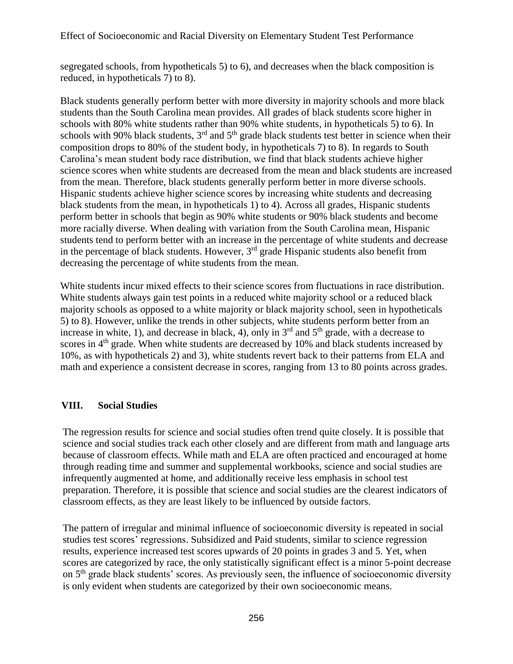segregated schools, from hypotheticals 5) to 6), and decreases when the black composition is reduced, in hypotheticals 7) to 8).

Black students generally perform better with more diversity in majority schools and more black students than the South Carolina mean provides. All grades of black students score higher in schools with 80% white students rather than 90% white students, in hypotheticals 5) to 6). In schools with 90% black students,  $3<sup>rd</sup>$  and  $5<sup>th</sup>$  grade black students test better in science when their composition drops to 80% of the student body, in hypotheticals 7) to 8). In regards to South Carolina's mean student body race distribution, we find that black students achieve higher science scores when white students are decreased from the mean and black students are increased from the mean. Therefore, black students generally perform better in more diverse schools. Hispanic students achieve higher science scores by increasing white students and decreasing black students from the mean, in hypotheticals 1) to 4). Across all grades, Hispanic students perform better in schools that begin as 90% white students or 90% black students and become more racially diverse. When dealing with variation from the South Carolina mean, Hispanic students tend to perform better with an increase in the percentage of white students and decrease in the percentage of black students. However,  $3<sup>rd</sup>$  grade Hispanic students also benefit from decreasing the percentage of white students from the mean.

White students incur mixed effects to their science scores from fluctuations in race distribution. White students always gain test points in a reduced white majority school or a reduced black majority schools as opposed to a white majority or black majority school, seen in hypotheticals 5) to 8). However, unlike the trends in other subjects, white students perform better from an increase in white, 1), and decrease in black, 4), only in  $3<sup>rd</sup>$  and  $5<sup>th</sup>$  grade, with a decrease to scores in 4<sup>th</sup> grade. When white students are decreased by 10% and black students increased by 10%, as with hypotheticals 2) and 3), white students revert back to their patterns from ELA and math and experience a consistent decrease in scores, ranging from 13 to 80 points across grades.

### **VIII. Social Studies**

The regression results for science and social studies often trend quite closely. It is possible that science and social studies track each other closely and are different from math and language arts because of classroom effects. While math and ELA are often practiced and encouraged at home through reading time and summer and supplemental workbooks, science and social studies are infrequently augmented at home, and additionally receive less emphasis in school test preparation. Therefore, it is possible that science and social studies are the clearest indicators of classroom effects, as they are least likely to be influenced by outside factors.

The pattern of irregular and minimal influence of socioeconomic diversity is repeated in social studies test scores' regressions. Subsidized and Paid students, similar to science regression results, experience increased test scores upwards of 20 points in grades 3 and 5. Yet, when scores are categorized by race, the only statistically significant effect is a minor 5-point decrease on 5th grade black students' scores. As previously seen, the influence of socioeconomic diversity is only evident when students are categorized by their own socioeconomic means.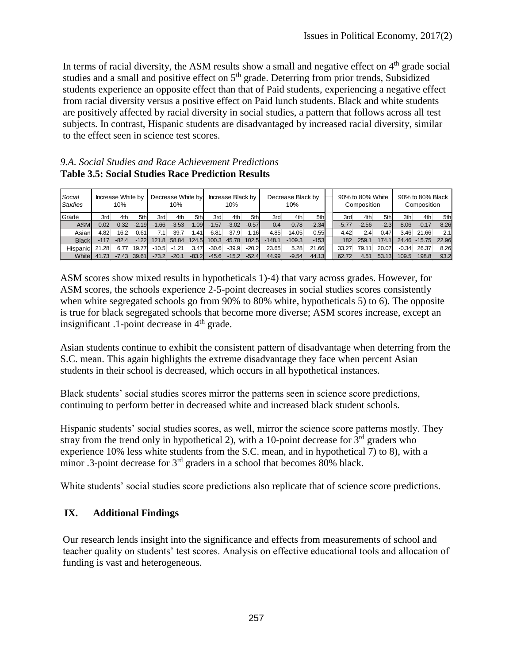In terms of racial diversity, the ASM results show a small and negative effect on  $4<sup>th</sup>$  grade social studies and a small and positive effect on 5<sup>th</sup> grade. Deterring from prior trends, Subsidized students experience an opposite effect than that of Paid students, experiencing a negative effect from racial diversity versus a positive effect on Paid lunch students. Black and white students are positively affected by racial diversity in social studies, a pattern that follows across all test subjects. In contrast, Hispanic students are disadvantaged by increased racial diversity, similar to the effect seen in science test scores.

#### *9.A. Social Studies and Race Achievement Predictions* **Table 3.5: Social Studies Race Prediction Results**

| Social<br><b>Studies</b> | Increase White by | 10%     |         |         | Decrease White by<br>10% |         |         | Increase Black by<br>10% |         | Decrease Black by<br>10% |          |         |  |         | 90% to 80% White<br>Composition |        | 90% to 80% Black<br>Composition |                  |        |  |  |
|--------------------------|-------------------|---------|---------|---------|--------------------------|---------|---------|--------------------------|---------|--------------------------|----------|---------|--|---------|---------------------------------|--------|---------------------------------|------------------|--------|--|--|
| Grade                    | 3rd               | 4th     | 5th     | 3rd     | 4th                      | 5th     | 3rd     | 4th                      | 5th     | 3rd                      | 4th      | 5th     |  | 3rd     | 4th                             | 5th    | 3th                             | 4th              | 5th    |  |  |
| <b>ASM</b>               | 0.02              | 0.32    | $-2.19$ | $-1.66$ | $-3.53$                  | 1.09    | $-1.57$ | $-3.02$                  | $-0.57$ | 0.4                      | 0.78     | $-2.34$ |  | $-5.77$ | $-2.56$                         | $-2.3$ | 8.06                            | $-0.17$          | 8.26   |  |  |
| Asian                    | $-4.82$           | $-16.2$ | $-0.61$ | $-7.1$  | $-39.7$                  | $-1.41$ | $-6.81$ | $-37.9$                  | $-1.16$ | $-4.85$                  | $-14.05$ | $-0.55$ |  | 4.42    | 2.4                             | 0.47   |                                 | $-3.46$ $-21.66$ | $-2.1$ |  |  |
| <b>Black</b>             | $-117$            | $-82.4$ | $-122$  | 121.8   | 58.84                    | 124.5   | 100.3   | 45.78                    | 102.5   | $-148.1$                 | $-109.3$ | $-153$  |  | 182     | 259.1                           | 174.1  |                                 | 24.46 -15.75     | 22.96  |  |  |
| Hispanic                 | 21.28             | 6.77    | 19.77   | $-10.5$ | $-1.21$                  | 3.47    | $-30.6$ | $-39.9$                  | $-20.2$ | 23.65                    | 5.28     | 21.66   |  | 33.27   | 79.11                           | 20.07  | $-0.34$                         | 26.37            | 8.26   |  |  |
| White                    | 41.73             | $-7.43$ | 39.61   | $-73.2$ | $-20.1$                  | $-83.2$ | $-45.6$ | $-15.2$                  | $-52.4$ | 44.99                    | $-9.54$  | 44.13   |  | 62.72   | 4.51                            | 53.13  | 109.5                           | 198.8            | 93.2   |  |  |

ASM scores show mixed results in hypotheticals 1)-4) that vary across grades. However, for ASM scores, the schools experience 2-5-point decreases in social studies scores consistently when white segregated schools go from 90% to 80% white, hypotheticals 5) to 6). The opposite is true for black segregated schools that become more diverse; ASM scores increase, except an insignificant  $\alpha$ -point decrease in  $4<sup>th</sup>$  grade.

Asian students continue to exhibit the consistent pattern of disadvantage when deterring from the S.C. mean. This again highlights the extreme disadvantage they face when percent Asian students in their school is decreased, which occurs in all hypothetical instances.

Black students' social studies scores mirror the patterns seen in science score predictions, continuing to perform better in decreased white and increased black student schools.

Hispanic students' social studies scores, as well, mirror the science score patterns mostly. They stray from the trend only in hypothetical 2), with a 10-point decrease for  $3<sup>rd</sup>$  graders who experience 10% less white students from the S.C. mean, and in hypothetical 7) to 8), with a minor .3-point decrease for 3<sup>rd</sup> graders in a school that becomes 80% black.

White students' social studies score predictions also replicate that of science score predictions.

# **IX. Additional Findings**

Our research lends insight into the significance and effects from measurements of school and teacher quality on students' test scores. Analysis on effective educational tools and allocation of funding is vast and heterogeneous.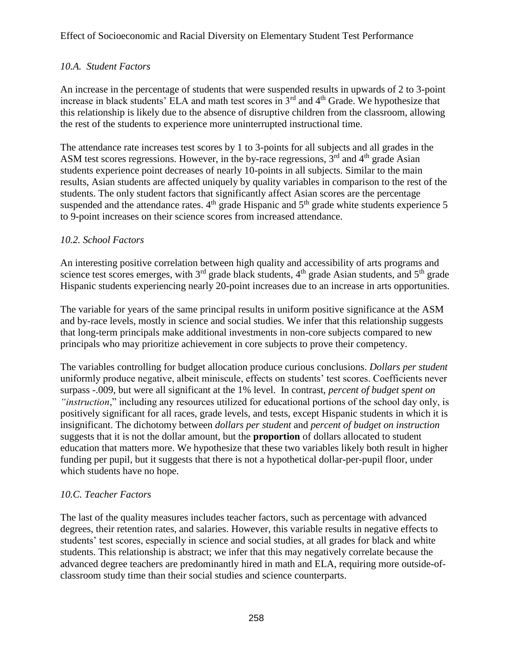# *10.A. Student Factors*

An increase in the percentage of students that were suspended results in upwards of 2 to 3-point increase in black students' ELA and math test scores in  $3<sup>rd</sup>$  and  $4<sup>th</sup>$  Grade. We hypothesize that this relationship is likely due to the absence of disruptive children from the classroom, allowing the rest of the students to experience more uninterrupted instructional time.

The attendance rate increases test scores by 1 to 3-points for all subjects and all grades in the ASM test scores regressions. However, in the by-race regressions,  $3<sup>rd</sup>$  and  $4<sup>th</sup>$  grade Asian students experience point decreases of nearly 10-points in all subjects. Similar to the main results, Asian students are affected uniquely by quality variables in comparison to the rest of the students. The only student factors that significantly affect Asian scores are the percentage suspended and the attendance rates.  $4<sup>th</sup>$  grade Hispanic and  $5<sup>th</sup>$  grade white students experience 5 to 9-point increases on their science scores from increased attendance.

# *10.2. School Factors*

An interesting positive correlation between high quality and accessibility of arts programs and science test scores emerges, with  $3<sup>rd</sup>$  grade black students,  $4<sup>th</sup>$  grade Asian students, and  $5<sup>th</sup>$  grade Hispanic students experiencing nearly 20-point increases due to an increase in arts opportunities.

The variable for years of the same principal results in uniform positive significance at the ASM and by-race levels, mostly in science and social studies. We infer that this relationship suggests that long-term principals make additional investments in non-core subjects compared to new principals who may prioritize achievement in core subjects to prove their competency.

The variables controlling for budget allocation produce curious conclusions. *Dollars per student* uniformly produce negative, albeit miniscule, effects on students' test scores. Coefficients never surpass -.009, but were all significant at the 1% level. In contrast, *percent of budget spent on "instruction*," including any resources utilized for educational portions of the school day only, is positively significant for all races, grade levels, and tests, except Hispanic students in which it is insignificant. The dichotomy between *dollars per student* and *percent of budget on instruction* suggests that it is not the dollar amount, but the **proportion** of dollars allocated to student education that matters more. We hypothesize that these two variables likely both result in higher funding per pupil, but it suggests that there is not a hypothetical dollar-per-pupil floor, under which students have no hope.

# *10.C. Teacher Factors*

The last of the quality measures includes teacher factors, such as percentage with advanced degrees, their retention rates, and salaries. However, this variable results in negative effects to students' test scores, especially in science and social studies, at all grades for black and white students. This relationship is abstract; we infer that this may negatively correlate because the advanced degree teachers are predominantly hired in math and ELA, requiring more outside-ofclassroom study time than their social studies and science counterparts.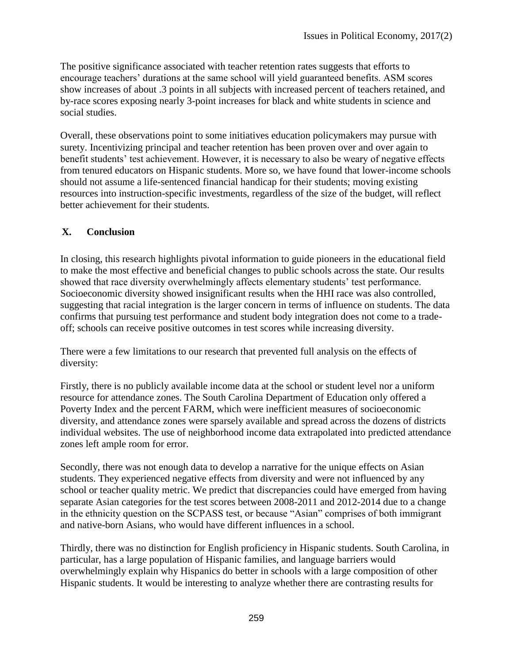The positive significance associated with teacher retention rates suggests that efforts to encourage teachers' durations at the same school will yield guaranteed benefits. ASM scores show increases of about .3 points in all subjects with increased percent of teachers retained, and by-race scores exposing nearly 3-point increases for black and white students in science and social studies.

Overall, these observations point to some initiatives education policymakers may pursue with surety. Incentivizing principal and teacher retention has been proven over and over again to benefit students' test achievement. However, it is necessary to also be weary of negative effects from tenured educators on Hispanic students. More so, we have found that lower-income schools should not assume a life-sentenced financial handicap for their students; moving existing resources into instruction-specific investments, regardless of the size of the budget, will reflect better achievement for their students.

# **X. Conclusion**

In closing, this research highlights pivotal information to guide pioneers in the educational field to make the most effective and beneficial changes to public schools across the state. Our results showed that race diversity overwhelmingly affects elementary students' test performance. Socioeconomic diversity showed insignificant results when the HHI race was also controlled, suggesting that racial integration is the larger concern in terms of influence on students. The data confirms that pursuing test performance and student body integration does not come to a tradeoff; schools can receive positive outcomes in test scores while increasing diversity.

There were a few limitations to our research that prevented full analysis on the effects of diversity:

Firstly, there is no publicly available income data at the school or student level nor a uniform resource for attendance zones. The South Carolina Department of Education only offered a Poverty Index and the percent FARM, which were inefficient measures of socioeconomic diversity, and attendance zones were sparsely available and spread across the dozens of districts individual websites. The use of neighborhood income data extrapolated into predicted attendance zones left ample room for error.

Secondly, there was not enough data to develop a narrative for the unique effects on Asian students. They experienced negative effects from diversity and were not influenced by any school or teacher quality metric. We predict that discrepancies could have emerged from having separate Asian categories for the test scores between 2008-2011 and 2012-2014 due to a change in the ethnicity question on the SCPASS test, or because "Asian" comprises of both immigrant and native-born Asians, who would have different influences in a school.

Thirdly, there was no distinction for English proficiency in Hispanic students. South Carolina, in particular, has a large population of Hispanic families, and language barriers would overwhelmingly explain why Hispanics do better in schools with a large composition of other Hispanic students. It would be interesting to analyze whether there are contrasting results for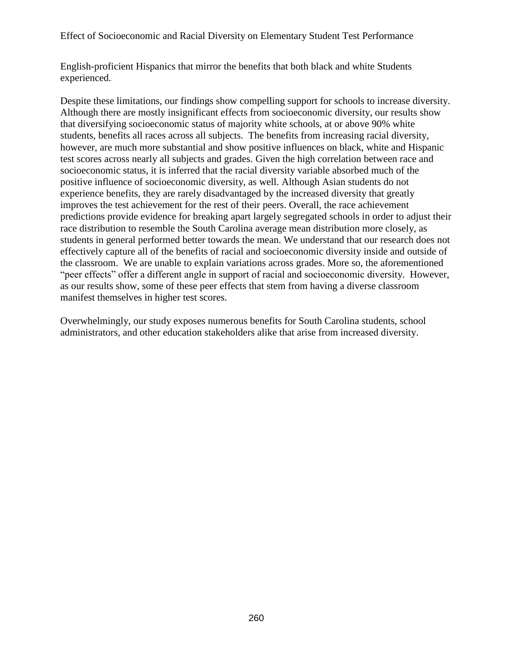English-proficient Hispanics that mirror the benefits that both black and white Students experienced.

Despite these limitations, our findings show compelling support for schools to increase diversity. Although there are mostly insignificant effects from socioeconomic diversity, our results show that diversifying socioeconomic status of majority white schools, at or above 90% white students, benefits all races across all subjects. The benefits from increasing racial diversity, however, are much more substantial and show positive influences on black, white and Hispanic test scores across nearly all subjects and grades. Given the high correlation between race and socioeconomic status, it is inferred that the racial diversity variable absorbed much of the positive influence of socioeconomic diversity, as well. Although Asian students do not experience benefits, they are rarely disadvantaged by the increased diversity that greatly improves the test achievement for the rest of their peers. Overall, the race achievement predictions provide evidence for breaking apart largely segregated schools in order to adjust their race distribution to resemble the South Carolina average mean distribution more closely, as students in general performed better towards the mean. We understand that our research does not effectively capture all of the benefits of racial and socioeconomic diversity inside and outside of the classroom. We are unable to explain variations across grades. More so, the aforementioned "peer effects" offer a different angle in support of racial and socioeconomic diversity. However, as our results show, some of these peer effects that stem from having a diverse classroom manifest themselves in higher test scores.

Overwhelmingly, our study exposes numerous benefits for South Carolina students, school administrators, and other education stakeholders alike that arise from increased diversity.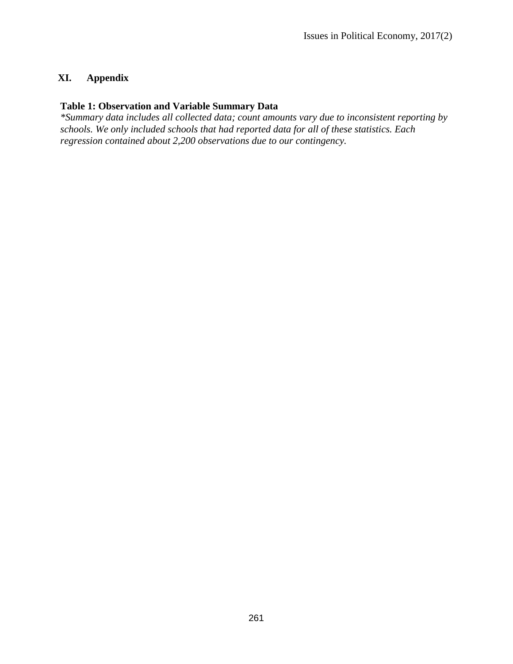# **XI. Appendix**

### **Table 1: Observation and Variable Summary Data**

*\*Summary data includes all collected data; count amounts vary due to inconsistent reporting by schools. We only included schools that had reported data for all of these statistics. Each regression contained about 2,200 observations due to our contingency.*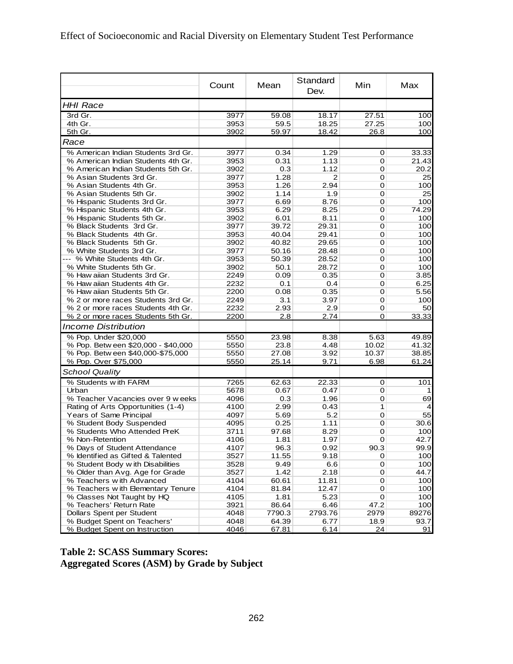|                                     | Count | Mean   | Standard<br>Dev. | Min   | Max   |
|-------------------------------------|-------|--------|------------------|-------|-------|
| <b>HHI Race</b>                     |       |        |                  |       |       |
| 3rd Gr.                             | 3977  | 59.08  | 18.17            | 27.51 | 100   |
| 4th Gr.                             | 3953  | 59.5   | 18.25            | 27.25 | 100   |
| 5th Gr.                             | 3902  | 59.97  | 18.42            | 26.8  | 100   |
| Race                                |       |        |                  |       |       |
| % American Indian Students 3rd Gr.  | 3977  | 0.34   | 1.29             | 0     | 33.33 |
| % American Indian Students 4th Gr.  | 3953  | 0.31   | 1.13             | 0     | 21.43 |
| % American Indian Students 5th Gr.  | 3902  | 0.3    | 1.12             | 0     | 20.2  |
| % Asian Students 3rd Gr.            | 3977  | 1.28   | 2                | 0     | 25    |
| % Asian Students 4th Gr.            | 3953  | 1.26   | 2.94             | 0     | 100   |
| % Asian Students 5th Gr.            | 3902  | 1.14   | 1.9              | 0     | 25    |
| % Hispanic Students 3rd Gr.         | 3977  | 6.69   | 8.76             | 0     | 100   |
| % Hispanic Students 4th Gr.         | 3953  | 6.29   | 8.25             | 0     | 74.29 |
| % Hispanic Students 5th Gr.         | 3902  | 6.01   | 8.11             | 0     | 100   |
| % Black Students 3rd Gr.            | 3977  | 39.72  | 29.31            | 0     | 100   |
| % Black Students 4th Gr.            | 3953  | 40.04  | 29.41            | 0     | 100   |
| % Black Students 5th Gr.            | 3902  | 40.82  | 29.65            | 0     | 100   |
| % White Students 3rd Gr.            | 3977  | 50.16  | 28.48            | 0     | 100   |
| --- % White Students 4th Gr.        | 3953  | 50.39  | 28.52            | 0     | 100   |
| % White Students 5th Gr.            | 3902  | 50.1   | 28.72            | 0     | 100   |
| % Haw aiian Students 3rd Gr.        | 2249  | 0.09   | 0.35             | 0     | 3.85  |
| % Haw aiian Students 4th Gr.        | 2232  | 0.1    | 0.4              | 0     | 6.25  |
| % Haw aiian Students 5th Gr.        | 2200  | 0.08   | 0.35             | 0     | 5.56  |
| % 2 or more races Students 3rd Gr.  | 2249  | 3.1    | 3.97             | 0     | 100   |
| % 2 or more races Students 4th Gr.  | 2232  | 2.93   | 2.9              | 0     | 50    |
| % 2 or more races Students 5th Gr.  | 2200  | 2.8    | 2.74             | 0     | 33.33 |
| <b>Income Distribution</b>          |       |        |                  |       |       |
| % Pop. Under \$20,000               | 5550  | 23.98  | 8.38             | 5.63  | 49.89 |
| % Pop. Betw een \$20,000 - \$40,000 | 5550  | 23.8   | 4.48             | 10.02 | 41.32 |
| % Pop. Betw een \$40,000-\$75,000   | 5550  | 27.08  | 3.92             | 10.37 | 38.85 |
| % Pop. Over \$75,000                | 5550  | 25.14  | 9.71             | 6.98  | 61.24 |
| <b>School Quality</b>               |       |        |                  |       |       |
| % Students w ith FARM               | 7265  | 62.63  | 22.33            | 0     | 101   |
| Urban                               | 5678  | 0.67   | 0.47             | 0     |       |
| % Teacher Vacancies over 9 w eeks   | 4096  | 0.3    | 1.96             | 0     | 69    |
| Rating of Arts Opportunities (1-4)  | 4100  | 2.99   | 0.43             | 1     | 4     |
| Years of Same Principal             | 4097  | 5.69   | 5.2              | 0     | 55    |
| % Student Body Suspended            | 4095  | 0.25   | 1.11             | 0     | 30.6  |
| % Students Who Attended PreK        | 3711  | 97.68  | 8.29             | 0     | 100   |
| % Non-Retention                     | 4106  | 1.81   | 1.97             | 0     | 42.7  |
| % Days of Student Attendance        | 4107  | 96.3   | 0.92             | 90.3  | 99.9  |
| % Identified as Gifted & Talented   | 3527  | 11.55  | 9.18             | 0     | 100   |
| % Student Body w ith Disabilities   | 3528  | 9.49   | 6.6              | 0     | 100   |
| % Older than Avg. Age for Grade     | 3527  | 1.42   | 2.18             | 0     | 44.7  |
| % Teachers with Advanced            | 4104  | 60.61  | 11.81            | 0     | 100   |
| % Teachers with Elementary Tenure   | 4104  | 81.84  | 12.47            | 0     | 100   |
| % Classes Not Taught by HQ          | 4105  | 1.81   | 5.23             | 0     | 100   |
| % Teachers' Return Rate             | 3921  | 86.64  | 6.46             | 47.2  | 100   |
| Dollars Spent per Student           | 4048  | 7790.3 | 2793.76          | 2979  | 89276 |
| % Budget Spent on Teachers'         | 4048  | 64.39  | 6.77             | 18.9  | 93.7  |
| % Budget Spent on Instruction       | 4046  | 67.81  | 6.14             | 24    | 91    |

# **Table 2: SCASS Summary Scores: Aggregated Scores (ASM) by Grade by Subject**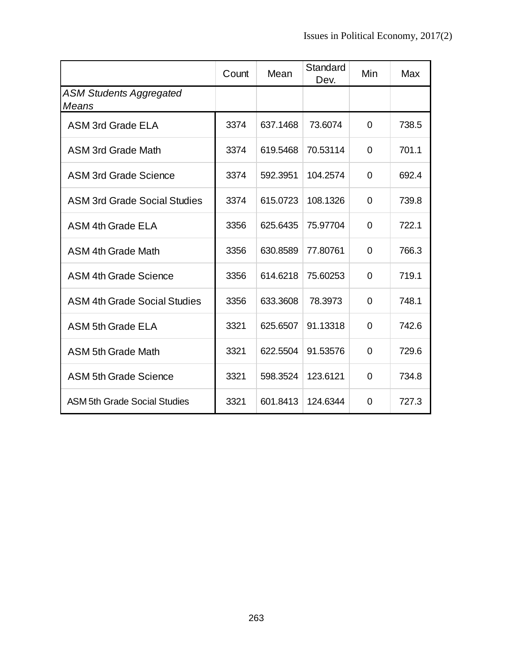|                                         | Count | Mean     | Standard<br>Dev. | Min            | Max   |
|-----------------------------------------|-------|----------|------------------|----------------|-------|
| <b>ASM Students Aggregated</b><br>Means |       |          |                  |                |       |
| <b>ASM 3rd Grade ELA</b>                | 3374  | 637.1468 | 73.6074          | $\overline{0}$ | 738.5 |
| <b>ASM 3rd Grade Math</b>               | 3374  | 619.5468 | 70.53114         | $\Omega$       | 701.1 |
| <b>ASM 3rd Grade Science</b>            | 3374  | 592.3951 | 104.2574         | 0              | 692.4 |
| <b>ASM 3rd Grade Social Studies</b>     | 3374  | 615.0723 | 108.1326         | 0              | 739.8 |
| ASM 4th Grade ELA                       | 3356  | 625.6435 | 75.97704         | 0              | 722.1 |
| <b>ASM 4th Grade Math</b>               | 3356  | 630.8589 | 77.80761         | 0              | 766.3 |
| <b>ASM 4th Grade Science</b>            | 3356  | 614.6218 | 75,60253         | $\Omega$       | 719.1 |
| <b>ASM 4th Grade Social Studies</b>     | 3356  | 633.3608 | 78.3973          | $\overline{0}$ | 748.1 |
| <b>ASM 5th Grade ELA</b>                | 3321  | 625.6507 | 91.13318         | 0              | 742.6 |
| <b>ASM 5th Grade Math</b>               | 3321  | 622.5504 | 91.53576         | 0              | 729.6 |
| <b>ASM 5th Grade Science</b>            | 3321  | 598.3524 | 123.6121         | 0              | 734.8 |
| <b>ASM 5th Grade Social Studies</b>     | 3321  | 601.8413 | 124.6344         | 0              | 727.3 |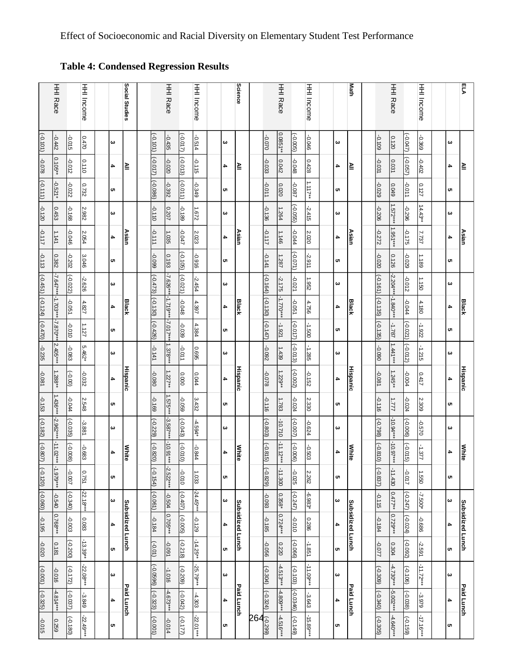# **Table 4: Condensed Regression Results**

|            |                                                                                                                                           | <b>HHI Income</b>                                              |                                          |                       | Social Studies |                                                          |                | HHI Race                                                                        |                                                                    | HHI Income                                                          |          |                       | Science      |                                                                         |                | HHI Race               |                                                                           | <b>HHI Income</b>                                                                            |         |           | Math         |                                                          |            | HHI Race                                                                                              |                                                                                                                       | <b>HHI Income</b>                                                                                   |     | ይ                |
|------------|-------------------------------------------------------------------------------------------------------------------------------------------|----------------------------------------------------------------|------------------------------------------|-----------------------|----------------|----------------------------------------------------------|----------------|---------------------------------------------------------------------------------|--------------------------------------------------------------------|---------------------------------------------------------------------|----------|-----------------------|--------------|-------------------------------------------------------------------------|----------------|------------------------|---------------------------------------------------------------------------|----------------------------------------------------------------------------------------------|---------|-----------|--------------|----------------------------------------------------------|------------|-------------------------------------------------------------------------------------------------------|-----------------------------------------------------------------------------------------------------------------------|-----------------------------------------------------------------------------------------------------|-----|------------------|
| $-0.442$   | S10'0-                                                                                                                                    | 0.470                                                          |                                          | ω                     |                |                                                          |                | -0.435                                                                          |                                                                    | +0.514                                                              |          | ω                     |              |                                                                         | 070.0          |                        |                                                                           | 970'0-                                                                                       |         | ω         |              |                                                          | -0.109     | 0.120                                                                                                 |                                                                                                                       | $-0.369$                                                                                            | ω   |                  |
| $0.105**$  | -0.012                                                                                                                                    | 0.110                                                          |                                          | 4                     | ≧              |                                                          |                | 020'0-                                                                          |                                                                    | $-0.115$                                                            |          | 4                     | ≧            |                                                                         | $-0.033$       | 0.042                  | 870'0-                                                                    | 0.428                                                                                        |         | 4         | Μl           |                                                          | $-0.031$   | 0.031                                                                                                 |                                                                                                                       | Ģ<br>.402                                                                                           | 4   | ≧                |
| $-0.521*$  | -0.022                                                                                                                                    | 0.732                                                          |                                          | c                     |                |                                                          |                | -0.392                                                                          |                                                                    | Ģ<br>349                                                            |          | c                     |              |                                                                         | -0.011         | 0.020                  | -0.087                                                                    |                                                                                              |         | c         |              |                                                          | -0.029     | 670'0                                                                                                 | -0.011                                                                                                                | 0.127                                                                                               | c   |                  |
| 0.453      | -0.168                                                                                                                                    | 2.982                                                          |                                          | ω                     |                |                                                          | $-0.110$       | 0.207                                                                           | $-0.189$                                                           | ÷.<br>7.9                                                           |          | ω                     |              |                                                                         | $-0.136$       | 1.264                  |                                                                           | $-2.415$                                                                                     |         | ω         |              |                                                          | $-0.206$   |                                                                                                       | -0.296                                                                                                                | $14.43**$                                                                                           | ω   |                  |
| 1.141      | 970'0-                                                                                                                                    | 2.054                                                          |                                          | 4                     | Asian          |                                                          | $-0.111$       | 1.035                                                                           | -0.047                                                             | Ņ<br>.023                                                           |          | 4                     | Asian        |                                                                         | -0.117         | 1.146                  | +0.044                                                                    | Ņ<br>020                                                                                     |         | 4         | Asian        |                                                          | -0.272     |                                                                                                       | -0.175                                                                                                                | 7.737                                                                                               | 4   | Asian            |
| 0.382      | $-0.202$                                                                                                                                  | 3.046                                                          |                                          | c                     |                |                                                          | -0.099         | 0.193                                                                           | $(-0.105)$                                                         | 916'0-                                                              |          | c                     |              |                                                                         | $-0.141$       | 1.287                  | (1/0.071)                                                                 | -2.911                                                                                       |         | c         |              |                                                          | -0.020     | 0.126                                                                                                 | 620'0-                                                                                                                | 1.189                                                                                               | c   |                  |
|            | $(-0.022)$                                                                                                                                | $-2.626$                                                       |                                          | ω                     |                |                                                          | $(-0.473)$     | $-7.626***$                                                                     | $(-0.021)$                                                         | Ņ<br>-454                                                           |          | ω                     |              |                                                                         | $(-0.164)$     | $-2.175$               | $-0.021$                                                                  | 1.952                                                                                        |         | ω         |              |                                                          |            |                                                                                                       | -0.012                                                                                                                | 1.150                                                                                               | ω   |                  |
|            | -0.051                                                                                                                                    | 4.827                                                          |                                          | 4                     | <b>Black</b>   |                                                          | $(-0.130)$     | -1.719***                                                                       | $-0.048$                                                           | 4.397                                                               |          | 4                     |              |                                                                         | $(-0.130)$     | $-1.770***$            | $-0.051$                                                                  | 4.756                                                                                        |         | 4         | <b>Black</b> |                                                          |            | $-1.840***$                                                                                           | -0.044                                                                                                                | 4.180                                                                                               | 4   | <b>Black</b>     |
| -7.870**   | 010'0-                                                                                                                                    | 1.127                                                          |                                          | c                     |                |                                                          | $(-0.426)$     | -7.017**                                                                        | -0.039                                                             | 4.384                                                               |          | C)                    |              |                                                                         | $(-0.147)$     | $-1.921$               | $(-0.017)$                                                                | 0091-                                                                                        |         | c         |              |                                                          |            | $-1.787$                                                                                              |                                                                                                                       | $-1.922$                                                                                            | c   |                  |
|            | $-0.083$                                                                                                                                  | 5.462*                                                         |                                          | ω                     |                |                                                          | $-0.141$       | 1.378***                                                                        | -0.011                                                             | 9690                                                                |          | ω                     |              |                                                                         | -0.092         | 1.439                  |                                                                           | $-1.285$                                                                                     |         | ω         |              |                                                          | -0.090     | $1.441***$                                                                                            |                                                                                                                       | $-1.215$                                                                                            | ω   |                  |
| 1.288**    | $(-0.00)$                                                                                                                                 | $-0.032$                                                       |                                          | 4                     |                |                                                          | -0.080         | 1.227**                                                                         | 0000                                                               | 0.044                                                               |          | 4                     |              |                                                                         | 820.0-         | $1.229**$              | $(-0.002)$                                                                | -0.152                                                                                       |         | 4         |              |                                                          | $-0.081$   | $1.245**$                                                                                             | +000+                                                                                                                 | 1147                                                                                                | 4   | <b>Hispanic</b>  |
| $1.436***$ | $-0.044$                                                                                                                                  | 2.548                                                          |                                          | <b>G</b>              |                |                                                          | 691.0-         |                                                                                 | 690'0-                                                             | بە<br>432                                                           |          | c                     |              |                                                                         | $-0.116$       | 1.783                  | -0.024                                                                    | Ņ<br>330                                                                                     |         | c         |              |                                                          | $-0.116$   | LL'                                                                                                   | +20.0-                                                                                                                | Ņ.<br>.309                                                                                          | CT. |                  |
|            | $(-0.035)$                                                                                                                                | $-3.881$                                                       |                                          | ω                     |                |                                                          | $(-0.229)$     | $-3.587***$                                                                     | $(-0.043)$                                                         | $-4.594*$                                                           |          | دە                    |              |                                                                         | $(-0.803)$     | $-10.710$              | $(1000 -)$                                                                | -0.624                                                                                       |         | ω         |              |                                                          | $(-0.798)$ |                                                                                                       | $(-0.006)$                                                                                                            | -0.570                                                                                              | ယ   |                  |
|            |                                                                                                                                           | $-0.68$<br>ω                                                   |                                          | 4                     | <b>White</b>   |                                                          | $(-0.82)$<br>s |                                                                                 | $(-0.016)$<br>౸                                                    | -0.84                                                               |          | 4                     | <b>White</b> |                                                                         | $(-0.81)$<br>ಅ | $-11.12*$              |                                                                           | $-0.50$<br>$\omega$                                                                          |         | 4         | <b>White</b> |                                                          | $(-0.810)$ | $-10.97*$                                                                                             | $( -0.019)$<br>ಲ                                                                                                      | $-1.37$                                                                                             | 4   | <b>White</b>     |
|            | -0.007                                                                                                                                    | 0.751                                                          |                                          | c                     |                |                                                          | $(-0.154)$     |                                                                                 | 010'0-                                                             | 1.033                                                               |          | c                     |              |                                                                         | $(-0.829)$     |                        | -0.025                                                                    | 2.262                                                                                        |         | <b>G</b>  |              |                                                          |            |                                                                                                       | -0.017                                                                                                                | 1.550                                                                                               | C)  |                  |
| -0.540     |                                                                                                                                           |                                                                |                                          | $\boldsymbol{\omega}$ |                |                                                          | $(-0.061)$     | -0.504                                                                          | $(-0.407)$                                                         | $-24.45***$                                                         |          | $\boldsymbol{\omega}$ |              |                                                                         | -0.093         | $0.358*$               | $(-0.247)$                                                                | -6.983*                                                                                      |         | ω         |              |                                                          | $-0.115$   | $0.477**$                                                                                             | $(-0.247)$                                                                                                            | $-7.500*$                                                                                           | ω   |                  |
|            |                                                                                                                                           | 0.083                                                          |                                          | 4                     |                |                                                          |                |                                                                                 |                                                                    | $-0.129$                                                            |          | 4                     |              |                                                                         |                |                        | 010'0-                                                                    | 0.286                                                                                        |         | 4         |              |                                                          |            |                                                                                                       |                                                                                                                       | $-0.686$                                                                                            | 4   | Subsidized Lunch |
| 0.181      |                                                                                                                                           |                                                                |                                          | G,                    |                |                                                          | $(-0.01)$      | -0.091                                                                          | $(-0.218)$                                                         | $-14.25**$                                                          |          | c                     |              |                                                                         | -0.056         | 0.220                  |                                                                           | $-1.851$                                                                                     |         | C)        |              |                                                          | -0.077     | 0.304                                                                                                 |                                                                                                                       | $-2.591$                                                                                            | CT. |                  |
| 910'0-     | $(-0.172)$                                                                                                                                |                                                                |                                          | $\boldsymbol{\omega}$ |                |                                                          |                | $-1.016$                                                                        | $(-0.209)$                                                         | $-25.$                                                              |          | ω                     |              |                                                                         | $(-0.304)$     |                        | $(-0.103)$                                                                | $-11.09***$                                                                                  |         | ω         |              |                                                          |            |                                                                                                       | $(-0.106)$                                                                                                            | $-11.72***$                                                                                         | ω   |                  |
|            |                                                                                                                                           | $-3.849$                                                       |                                          | 4                     |                |                                                          |                |                                                                                 |                                                                    | $-4.303$                                                            |          | 4                     |              |                                                                         |                |                        |                                                                           | $-3.643$                                                                                     |         | 4         |              |                                                          |            |                                                                                                       |                                                                                                                       | -3.979                                                                                              | 4   | Paid Lunch       |
| 0.259      | $(-0.180)$                                                                                                                                | $-22.49***$                                                    |                                          | c                     |                |                                                          | (1000)         | 40.014                                                                          | $( -0.177)$                                                        | $-22.01***$                                                         |          | c                     |              | $264^\circ_\overset{\circ}{\overset{\circ}{\mathrm{g}}\ ^{\mathrm{g}}}$ |                | $-4.516***$            |                                                                           | $-15.89***$                                                                                  |         | <b>CT</b> |              |                                                          |            | $-4.640***$                                                                                           | (651.0)                                                                                                               | $-17.16***$                                                                                         | U1  |                  |
|            | <b>HHI Race</b><br>$-7.647**$ -1.703***<br>$2.405***$<br>$-2.962***$<br>$-11.02*$<br>$\ddot{*}$<br>$-1.979***$<br>0.768***<br>$-4.814***$ | $(-0.008)$<br>$(-0.340)$<br>-0.003<br>$(-0.200)$<br>$(-0.037)$ | $-22.18***$<br>$-13.39**$<br>$-22.08***$ |                       |                | <b>Hispanic</b><br>Subsidized Lunch<br><b>Paid Lunch</b> |                | $(-0.101)$<br>$(110.0-)$<br>$(-0.086)$<br>$-0.184$<br>$(-0.0596)$<br>$(-0.323)$ | 1.575***<br>$-10.91***$<br>$-2.522***$<br>$0.705***$<br>$-4.673**$ | $( -0.017)$<br>$(-0.013)$<br>$(-0.011)$<br>$(-0.005)$<br>$(-0.042)$ | $.79***$ |                       |              | <b>Black</b><br><b>Hispanic</b><br>Subsidized Lunch<br>Paid Lunch       |                | $-0.185$<br>$(-0.324)$ | $0.0851**$<br>$*$<br>$-11.300$<br>$0.724***$<br>$-4.513***$<br>$-4.809**$ | $(-0.005)$<br>$(-0.055)$<br>$(-0.013)$<br>$(-0.006)$<br>$(-0.066)$<br>$(60.0346)$ $(-0.149)$ | 1.117** |           |              | <b>Hispanic</b><br>Subsidized Lunch<br><b>Paid Lunch</b> |            | $(-0.161)$ $(-0.135)$<br>$(-0.135)$<br>$(-0.837)$<br>$-0.184$<br>$(-0.309)$<br>$( -0.340)$ $(-0.305)$ | 1.572***<br>1.951***<br>$-2.204***$<br>$-10.94***$<br>$\ddot{*}$<br>-11.430<br>0.729***<br>$-4.730***$<br>$-5.002***$ | $(1 + 0.047)$<br>$(-0.057)$<br>$(-0.021)$<br>$(-0.012)$<br>$(-0.024)$<br>$( -0.092)$<br>$(9800 - )$ |     |                  |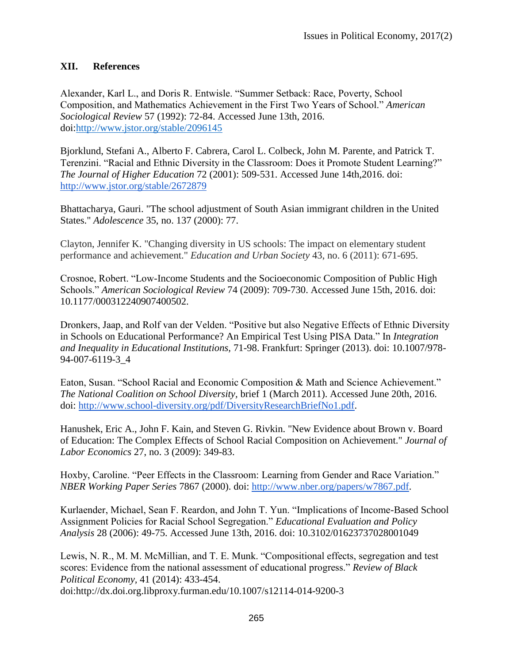### **XII. References**

Alexander, Karl L., and Doris R. Entwisle. "Summer Setback: Race, Poverty, School Composition, and Mathematics Achievement in the First Two Years of School." *American Sociological Review* 57 (1992): 72-84. Accessed June 13th, 2016. doi[:http://www.jstor.org/stable/2096145](http://www.jstor.org/stable/2096145)

Bjorklund, Stefani A., Alberto F. Cabrera, Carol L. Colbeck, John M. Parente, and Patrick T. Terenzini. "Racial and Ethnic Diversity in the Classroom: Does it Promote Student Learning?" *The Journal of Higher Education* 72 (2001): 509-531. Accessed June 14th,2016. doi[:](http://www.jstor.org/stable/2672879) <http://www.jstor.org/stable/2672879>

Bhattacharya, Gauri. "The school adjustment of South Asian immigrant children in the United States." *Adolescence* 35, no. 137 (2000): 77.

Clayton, Jennifer K. "Changing diversity in US schools: The impact on elementary student performance and achievement." *Education and Urban Society* 43, no. 6 (2011): 671-695.

Crosnoe, Robert. "Low-Income Students and the Socioeconomic Composition of Public High Schools." *American Sociological Review* 74 (2009): 709-730. Accessed June 15th, 2016. doi: 10.1177/000312240907400502.

Dronkers, Jaap, and Rolf van der Velden. "Positive but also Negative Effects of Ethnic Diversity in Schools on Educational Performance? An Empirical Test Using PISA Data." In *Integration and Inequality in Educational Institutions,* 71-98. Frankfurt: Springer (2013). doi: 10.1007/978- 94-007-6119-3\_4

Eaton, Susan. "School Racial and Economic Composition & Math and Science Achievement." *The National Coalition on School Diversity,* brief 1 (March 2011). Accessed June 20th, 2016. doi[:](http://www.school-diversity.org/pdf/DiversityResearchBriefNo1.pdf) [http://www.school-diversity.org/pdf/DiversityResearchBriefNo1.pdf.](http://www.school-diversity.org/pdf/DiversityResearchBriefNo1.pdf)

Hanushek, Eric A., John F. Kain, and Steven G. Rivkin. "New Evidence about Brown v. Board of Education: The Complex Effects of School Racial Composition on Achievement." *Journal of Labor Economics* 27, no. 3 (2009): 349-83.

Hoxby, Caroline. "Peer Effects in the Classroom: Learning from Gender and Race Variation." *NBER Working Paper Series* 7867 (2000). doi[:](http://www.nber.org/papers/w7867.pdf) [http://www.nber.org/papers/w7867.pdf.](http://www.nber.org/papers/w7867.pdf)

Kurlaender, Michael, Sean F. Reardon, and John T. Yun. "Implications of Income-Based School Assignment Policies for Racial School Segregation." *Educational Evaluation and Policy Analysis* 28 (2006): 49-75. Accessed June 13th, 2016. doi: 10.3102/01623737028001049

Lewis, N. R., M. M. McMillian, and T. E. Munk. "Compositional effects, segregation and test scores: Evidence from the national assessment of educational progress." *Review of Black Political Economy,* 41 (2014): 433-454. doi:http://dx.doi.org.libproxy.furman.edu/10.1007/s12114-014-9200-3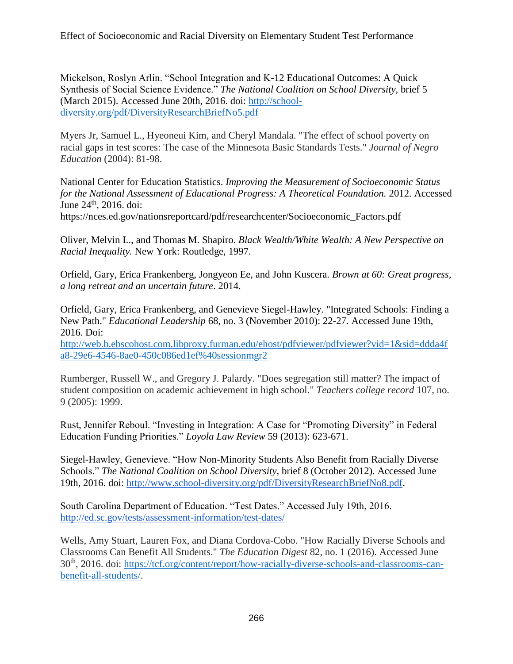Mickelson, Roslyn Arlin. "School Integration and K-12 Educational Outcomes: A Quick Synthesis of Social Science Evidence." *The National Coalition on School Diversity,* brief 5 (March 2015). Accessed June 20th, 2016. doi: [http://school](http://school-diversity.org/pdf/DiversityResearchBriefNo5.pdf)[diversity.org/pdf/DiversityResearchBriefNo5.pdf](http://school-diversity.org/pdf/DiversityResearchBriefNo5.pdf)

Myers Jr, Samuel L., Hyeoneui Kim, and Cheryl Mandala. "The effect of school poverty on racial gaps in test scores: The case of the Minnesota Basic Standards Tests." *Journal of Negro Education* (2004): 81-98.

National Center for Education Statistics. *Improving the Measurement of Socioeconomic Status*  for the National Assessment of Educational Progress: A Theoretical Foundation. 2012. Accessed June 24<sup>th</sup>, 2016. doi:

https://nces.ed.gov/nationsreportcard/pdf/researchcenter/Socioeconomic\_Factors.pdf

Oliver, Melvin L., and Thomas M. Shapiro. *Black Wealth/White Wealth: A New Perspective on Racial Inequality.* New York: Routledge, 1997.

Orfield, Gary, Erica Frankenberg, Jongyeon Ee, and John Kuscera. *Brown at 60: Great progress, a long retreat and an uncertain future*. 2014.

Orfield, Gary, Erica Frankenberg, and Genevieve Siegel-Hawley. "Integrated Schools: Finding a New Path." *Educational Leadership* 68, no. 3 (November 2010): 22-27. Accessed June 19th, 2016. Doi:

[http://web.b.ebscohost.com.libproxy.furman.edu/ehost/pdfviewer/pdfviewer?vid=1&sid=ddda4f](http://web.b.ebscohost.com.libproxy.furman.edu/ehost/pdfviewer/pdfviewer?vid=1&sid=ddda4fa8-29e6-4546-8ae0-450c086ed1ef%40sessionmgr2) [a8-29e6-4546-8ae0-450c086ed1ef%40sessionmgr2](http://web.b.ebscohost.com.libproxy.furman.edu/ehost/pdfviewer/pdfviewer?vid=1&sid=ddda4fa8-29e6-4546-8ae0-450c086ed1ef%40sessionmgr2)

Rumberger, Russell W., and Gregory J. Palardy. "Does segregation still matter? The impact of student composition on academic achievement in high school." *Teachers college record* 107, no. 9 (2005): 1999.

Rust, Jennifer Reboul. "Investing in Integration: A Case for "Promoting Diversity" in Federal Education Funding Priorities." *Loyola Law Review* 59 (2013): 623-671.

Siegel-Hawley, Genevieve. "How Non-Minority Students Also Benefit from Racially Diverse Schools." *The National Coalition on School Diversity,* brief 8 (October 2012). Accessed June 19th, 2016. doi: [http://www.school-diversity.org/pdf/DiversityResearchBriefNo8.pdf.](http://www.school-diversity.org/pdf/DiversityResearchBriefNo8.pdf)

South Carolina Department of Education. "Test Dates." Accessed July 19th, 2016. <http://ed.sc.gov/tests/assessment-information/test-dates/>

Wells, Amy Stuart, Lauren Fox, and Diana Cordova-Cobo. "How Racially Diverse Schools and Classrooms Can Benefit All Students." *The Education Digest* 82, no. 1 (2016). Accessed June 30th, 2016. doi: [https://tcf.org/content/report/how-racially-diverse-schools-and-classrooms-can](https://tcf.org/content/report/how-racially-diverse-schools-and-classrooms-can-benefit-all-students/)[benefit-all-students/.](https://tcf.org/content/report/how-racially-diverse-schools-and-classrooms-can-benefit-all-students/)